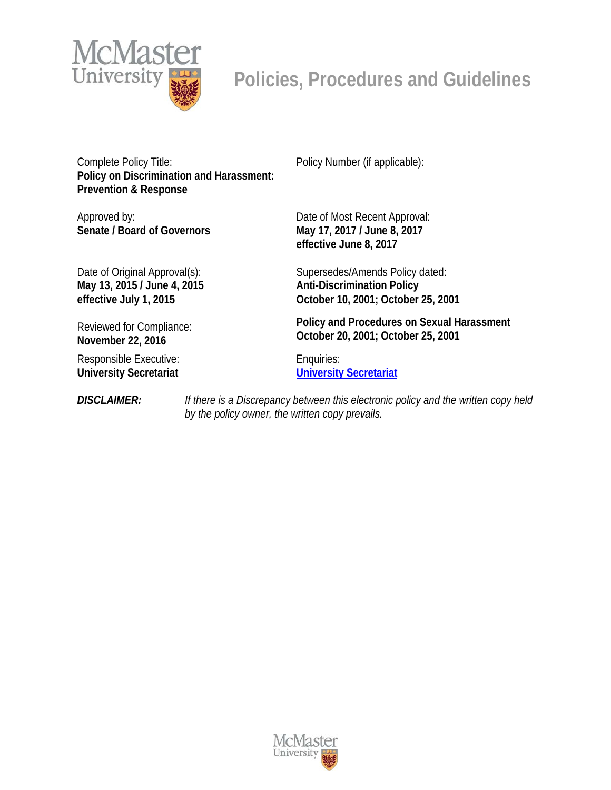

# **Policies, Procedures and Guidelines**

Complete Policy Title: **Policy on Discrimination and Harassment: Prevention & Response**

Policy Number (if applicable):

Approved by: **Senate / Board of Governors**

Date of Most Recent Approval: **May 17, 2017 / June 8, 2017 effective June 8, 2017**

Supersedes/Amends Policy dated: **Anti-Discrimination Policy** 

Date of Original Approval(s): **May 13, 2015 / June 4, 2015 effective July 1, 2015**

Reviewed for Compliance: **November 22, 2016**

Responsible Executive: **University Secretariat**

**October 10, 2001; October 25, 2001 Policy and Procedures on Sexual Harassment** 

**October 20, 2001; October 25, 2001**

Enquiries: **[University Secretariat](mailto:policy@mcmaster.ca?subject=Policy%20on%20the%20Prevention%20of%20Discrimination,%20Harassment%20and%20Sexual%20Harassment)**

*DISCLAIMER: If there is a Discrepancy between this electronic policy and the written copy held by the policy owner, the written copy prevails.*

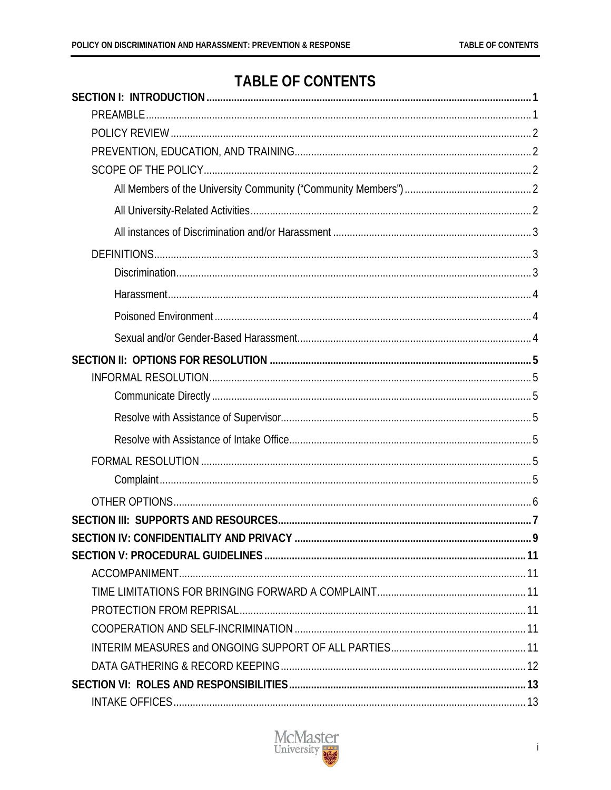# **TABLE OF CONTENTS**

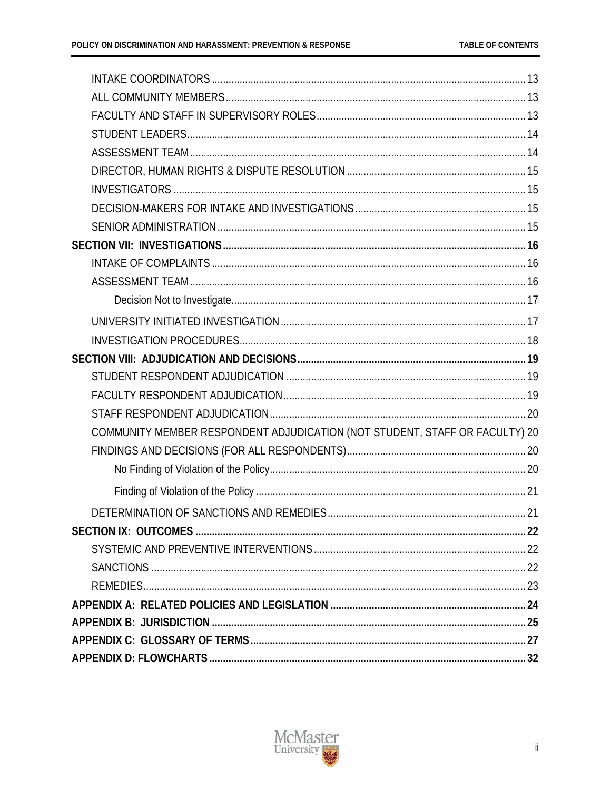| COMMUNITY MEMBER RESPONDENT ADJUDICATION (NOT STUDENT, STAFF OR FACULTY) 20 |  |
|-----------------------------------------------------------------------------|--|
|                                                                             |  |
|                                                                             |  |
|                                                                             |  |
|                                                                             |  |
|                                                                             |  |
|                                                                             |  |
|                                                                             |  |
|                                                                             |  |
|                                                                             |  |
|                                                                             |  |
|                                                                             |  |
|                                                                             |  |

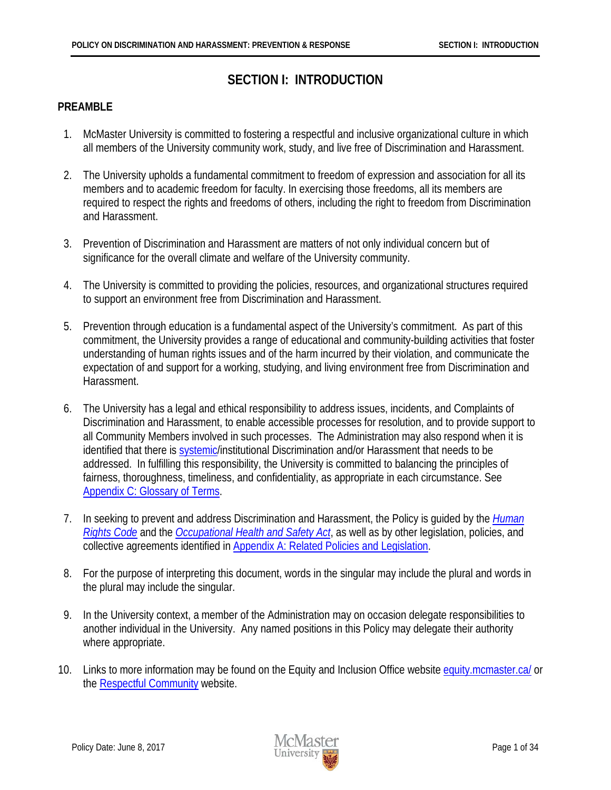# **SECTION I: INTRODUCTION**

# <span id="page-3-1"></span><span id="page-3-0"></span>**PREAMBLE**

- 1. McMaster University is committed to fostering a respectful and inclusive organizational culture in which all members of the University community work, study, and live free of Discrimination and Harassment.
- 2. The University upholds a fundamental commitment to freedom of expression and association for all its members and to academic freedom for faculty. In exercising those freedoms, all its members are required to respect the rights and freedoms of others, including the right to freedom from Discrimination and Harassment.
- 3. Prevention of Discrimination and Harassment are matters of not only individual concern but of significance for the overall climate and welfare of the University community.
- 4. The University is committed to providing the policies, resources, and organizational structures required to support an environment free from Discrimination and Harassment.
- 5. Prevention through education is a fundamental aspect of the University's commitment. As part of this commitment, the University provides a range of educational and community-building activities that foster understanding of human rights issues and of the harm incurred by their violation, and communicate the expectation of and support for a working, studying, and living environment free from Discrimination and Harassment.
- 6. The University has a legal and ethical responsibility to address issues, incidents, and Complaints of Discrimination and Harassment, to enable accessible processes for resolution, and to provide support to all Community Members involved in such processes. The Administration may also respond when it is identified that there i[s systemic/](#page-33-0)institutional Discrimination and/or Harassment that needs to be addressed. In fulfilling this responsibility, the University is committed to balancing the principles of fairness, thoroughness, timeliness, and confidentiality, as appropriate in each circumstance. See Appendix [C: Glossary of Terms.](#page-29-0)
- 7. In seeking to prevent and address Discrimination and Harassment, the Policy is guided by the *[Human](http://www.ohrc.on.ca/en/ontario-human-rights-code)  [Rights Code](http://www.ohrc.on.ca/en/ontario-human-rights-code)* and the *[Occupational Health and Safety Act](http://www.e-laws.gov.on.ca/html/source/statutes/english/2009/elaws_src_s09023_e.htm)*, as well as by other legislation, policies, and collective agreements identified in [Appendix A: Related Policies and Legislation.](#page-26-0)
- 8. For the purpose of interpreting this document, words in the singular may include the plural and words in the plural may include the singular.
- 9. In the University context, a member of the Administration may on occasion delegate responsibilities to another individual in the University. Any named positions in this Policy may delegate their authority where appropriate.
- 10. Links to more information may be found on the Equity and Inclusion Office website [equity.mcmaster.ca/](https://equity.mcmaster.ca/) or the [Respectful Community](http://www.mcmaster.ca/respectfulcommunity) website.

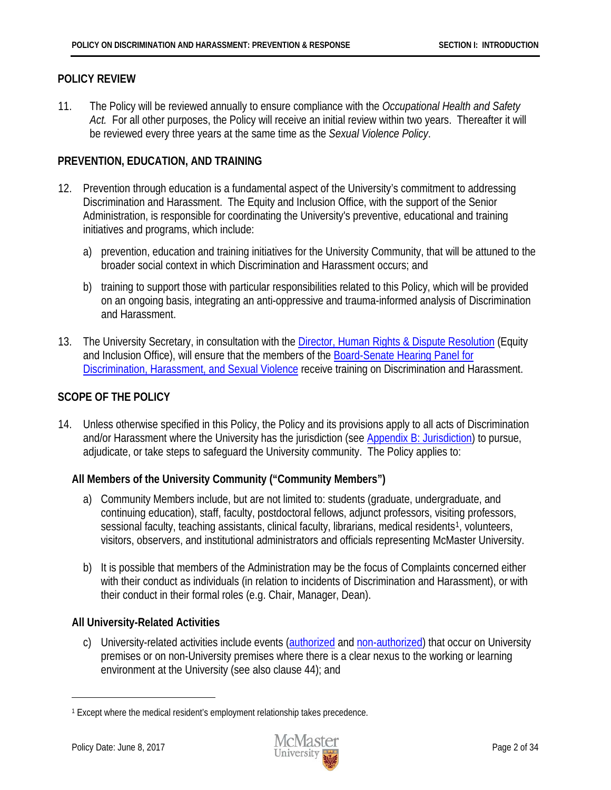# <span id="page-4-0"></span>**POLICY REVIEW**

11. The Policy will be reviewed annually to ensure compliance with the *Occupational Health and Safety Act.* For all other purposes, the Policy will receive an initial review within two years. Thereafter it will be reviewed every three years at the same time as the *Sexual Violence Policy*.

# <span id="page-4-1"></span>**PREVENTION, EDUCATION, AND TRAINING**

- 12. Prevention through education is a fundamental aspect of the University's commitment to addressing Discrimination and Harassment. The Equity and Inclusion Office, with the support of the Senior Administration, is responsible for coordinating the University's preventive, educational and training initiatives and programs, which include:
	- a) prevention, education and training initiatives for the University Community, that will be attuned to the broader social context in which Discrimination and Harassment occurs; and
	- b) training to support those with particular responsibilities related to this Policy, which will be provided on an ongoing basis, integrating an anti-oppressive and trauma-informed analysis of Discrimination and Harassment.
- 13. The University Secretary, in consultation with the [Director, Human Rights & Dispute Resolution](#page-17-0) (Equity and Inclusion Office), will ensure that the members of the [Board-Senate Hearing Panel for](http://www.mcmaster.ca/univsec/commboard/senharassment.cfm)  [Discrimination, Harassment, and Sexual Violence](http://www.mcmaster.ca/univsec/commboard/senharassment.cfm) receive training on Discrimination and Harassment.

## <span id="page-4-2"></span>**SCOPE OF THE POLICY**

14. Unless otherwise specified in this Policy, the Policy and its provisions apply to all acts of Discrimination and/or Harassment where the University has the jurisdiction (see [Appendix B: Jurisdiction\)](#page-27-0) to pursue, adjudicate, or take steps to safeguard the University community. The Policy applies to:

## <span id="page-4-3"></span>**All Members of the University Community ("Community Members")**

- a) Community Members include, but are not limited to: students (graduate, undergraduate, and continuing education), staff, faculty, postdoctoral fellows, adjunct professors, visiting professors, sessional faculty, teaching assistants, clinical faculty, librarians, medical residents<sup>[1](#page-4-5)</sup>, volunteers, visitors, observers, and institutional administrators and officials representing McMaster University.
- b) It is possible that members of the Administration may be the focus of Complaints concerned either with their conduct as individuals (in relation to incidents of Discrimination and Harassment), or with their conduct in their formal roles (e.g. Chair, Manager, Dean).

## <span id="page-4-4"></span>**All University-Related Activities**

c) University-related activities include events [\(authorized](#page-30-0) an[d non-authorized\)](#page-30-1) that occur on University premises or on non-University premises where there is a clear nexus to the working or learning environment at the University (see also clause 44); and

 $\overline{a}$ 



<span id="page-4-5"></span><sup>&</sup>lt;sup>1</sup> Except where the medical resident's employment relationship takes precedence.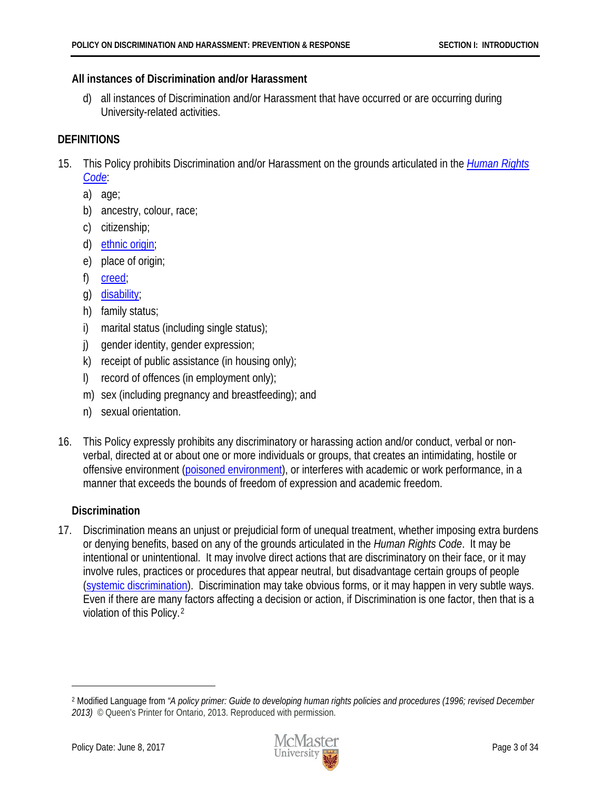# <span id="page-5-0"></span>**All instances of Discrimination and/or Harassment**

d) all instances of Discrimination and/or Harassment that have occurred or are occurring during University-related activities.

# <span id="page-5-1"></span>**DEFINITIONS**

- 15. This Policy prohibits Discrimination and/or Harassment on the grounds articulated in the *[Human Rights](http://www.ohrc.on.ca/en/ontario-human-rights-code)  [Code](http://www.ohrc.on.ca/en/ontario-human-rights-code)*:
	- a) age;
	- b) ancestry, colour, race;
	- c) citizenship;
	- d) [ethnic origin;](#page-30-2)
	- e) place of origin;
	- f) [creed;](#page-29-1)
	- g) [disability;](#page-30-3)
	- h) family status;
	- i) marital status (including single status);
	- j) gender identity, gender expression;
	- k) receipt of public assistance (in housing only);
	- l) record of offences (in employment only);
	- m) sex (including pregnancy and breastfeeding); and
	- n) sexual orientation.
- 16. This Policy expressly prohibits any discriminatory or harassing action and/or conduct, verbal or nonverbal, directed at or about one or more individuals or groups, that creates an intimidating, hostile or offensive environment [\(poisoned environment\)](#page-6-3), or interferes with academic or work performance, in a manner that exceeds the bounds of freedom of expression and academic freedom.

# <span id="page-5-2"></span>**Discrimination**

17. Discrimination means an unjust or prejudicial form of unequal treatment, whether imposing extra burdens or denying benefits, based on any of the grounds articulated in the *Human Rights Code*. It may be intentional or unintentional. It may involve direct actions that are discriminatory on their face, or it may involve rules, practices or procedures that appear neutral, but disadvantage certain groups of people [\(systemic discrimination\)](#page-33-0). Discrimination may take obvious forms, or it may happen in very subtle ways. Even if there are many factors affecting a decision or action, if Discrimination is one factor, then that is a violation of this Policy.[2](#page-5-3)

l



<span id="page-5-3"></span><sup>2</sup> Modified Language from *"A policy primer: Guide to developing human rights policies and procedures (1996; revised December 2013)* © Queen's Printer for Ontario, 2013. Reproduced with permission.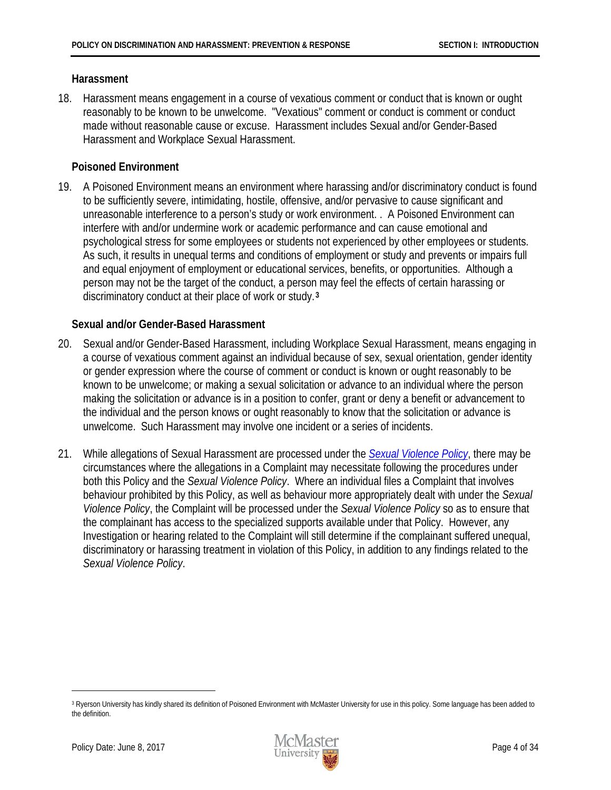### <span id="page-6-0"></span>**Harassment**

18. Harassment means engagement in a course of vexatious comment or conduct that is known or ought reasonably to be known to be unwelcome. "Vexatious" comment or conduct is comment or conduct made without reasonable cause or excuse. Harassment includes Sexual and/or Gender-Based Harassment and Workplace Sexual Harassment.

## <span id="page-6-1"></span>**Poisoned Environment**

19. A Poisoned Environment means an environment where harassing and/or discriminatory conduct is found to be sufficiently severe, intimidating, hostile, offensive, and/or pervasive to cause significant and unreasonable interference to a person's study or work environment. . A Poisoned Environment can interfere with and/or undermine work or academic performance and can cause emotional and psychological stress for some employees or students not experienced by other employees or students. As such, it results in unequal terms and conditions of employment or study and prevents or impairs full and equal enjoyment of employment or educational services, benefits, or opportunities. Although a person may not be the target of the conduct, a person may feel the effects of certain harassing or discriminatory conduct at their place of work or study. **[3](#page-6-4)**

## <span id="page-6-2"></span>**Sexual and/or Gender-Based Harassment**

- 20. Sexual and/or Gender-Based Harassment, including Workplace Sexual Harassment, means engaging in a course of vexatious comment against an individual because of sex, sexual orientation, gender identity or gender expression where the course of comment or conduct is known or ought reasonably to be known to be unwelcome; or making a sexual solicitation or advance to an individual where the person making the solicitation or advance is in a position to confer, grant or deny a benefit or advancement to the individual and the person knows or ought reasonably to know that the solicitation or advance is unwelcome. Such Harassment may involve one incident or a series of incidents.
- 21. While allegations of Sexual Harassment are processed under the *[Sexual Violence Policy](http://www.mcmaster.ca/policy/General/HR/Sexual_Violence_Policy.pdf)*, there may be circumstances where the allegations in a Complaint may necessitate following the procedures under both this Policy and the *Sexual Violence Policy*. Where an individual files a Complaint that involves behaviour prohibited by this Policy, as well as behaviour more appropriately dealt with under the *Sexual Violence Policy*, the Complaint will be processed under the *Sexual Violence Policy* so as to ensure that the complainant has access to the specialized supports available under that Policy. However, any Investigation or hearing related to the Complaint will still determine if the complainant suffered unequal, discriminatory or harassing treatment in violation of this Policy, in addition to any findings related to the *Sexual Violence Policy*.

<span id="page-6-3"></span> $\overline{a}$ 



<span id="page-6-4"></span><sup>&</sup>lt;sup>3</sup> Ryerson University has kindly shared its definition of Poisoned Environment with McMaster University for use in this policy. Some language has been added to the definition.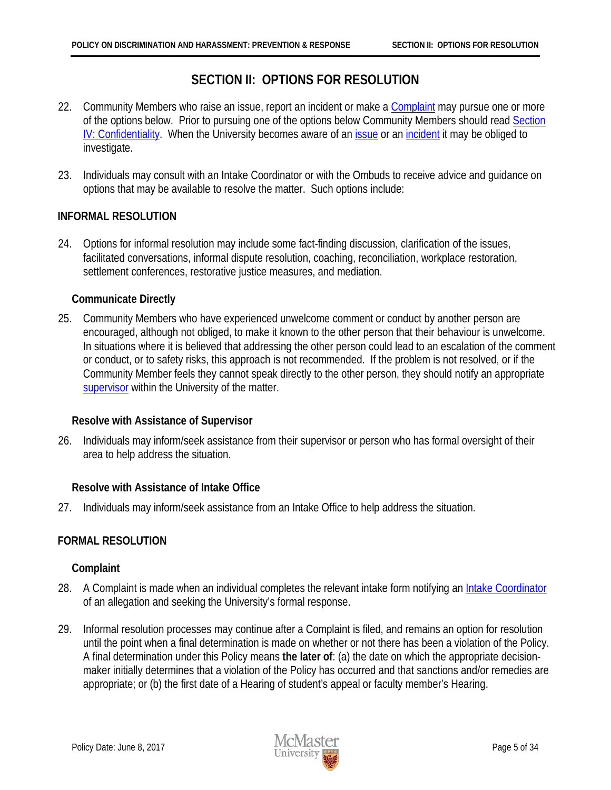# **SECTION II: OPTIONS FOR RESOLUTION**

- <span id="page-7-0"></span>22. Community Members who raise an issue, report an incident or make a [Complaint](#page-29-2) may pursue one or more of the options below. Prior to pursuing one of the options below Community Members should read Section [IV: Confidentiality.](#page-11-0) When the University becomes aware of an [issue](#page-31-0) or a[n incident](#page-30-4) it may be obliged to investigate.
- 23. Individuals may consult with an Intake Coordinator or with the Ombuds to receive advice and guidance on options that may be available to resolve the matter. Such options include:

## <span id="page-7-1"></span>**INFORMAL RESOLUTION**

24. Options for informal resolution may include some fact-finding discussion, clarification of the issues, facilitated conversations, informal dispute resolution, coaching, reconciliation, workplace restoration, settlement conferences, restorative justice measures, and mediation.

## <span id="page-7-2"></span>**Communicate Directly**

25. Community Members who have experienced unwelcome comment or conduct by another person are encouraged, although not obliged, to make it known to the other person that their behaviour is unwelcome. In situations where it is believed that addressing the other person could lead to an escalation of the comment or conduct, or to safety risks, this approach is not recommended. If the problem is not resolved, or if the Community Member feels they cannot speak directly to the other person, they should notify an appropriate [supervisor](#page-32-0) within the University of the matter.

## <span id="page-7-3"></span>**Resolve with Assistance of Supervisor**

26. Individuals may inform/seek assistance from their supervisor or person who has formal oversight of their area to help address the situation.

## <span id="page-7-4"></span>**Resolve with Assistance of Intake Office**

27. Individuals may inform/seek assistance from an Intake Office to help address the situation.

## <span id="page-7-5"></span>**FORMAL RESOLUTION**

## <span id="page-7-6"></span>**Complaint**

- 28. A Complaint is made when an individual completes the relevant intake form notifying an [Intake Coordinator](#page-15-2) of an allegation and seeking the University's formal response.
- 29. Informal resolution processes may continue after a Complaint is filed, and remains an option for resolution until the point when a final determination is made on whether or not there has been a violation of the Policy. A final determination under this Policy means **the later of**: (a) the date on which the appropriate decisionmaker initially determines that a violation of the Policy has occurred and that sanctions and/or remedies are appropriate; or (b) the first date of a Hearing of student's appeal or faculty member's Hearing.

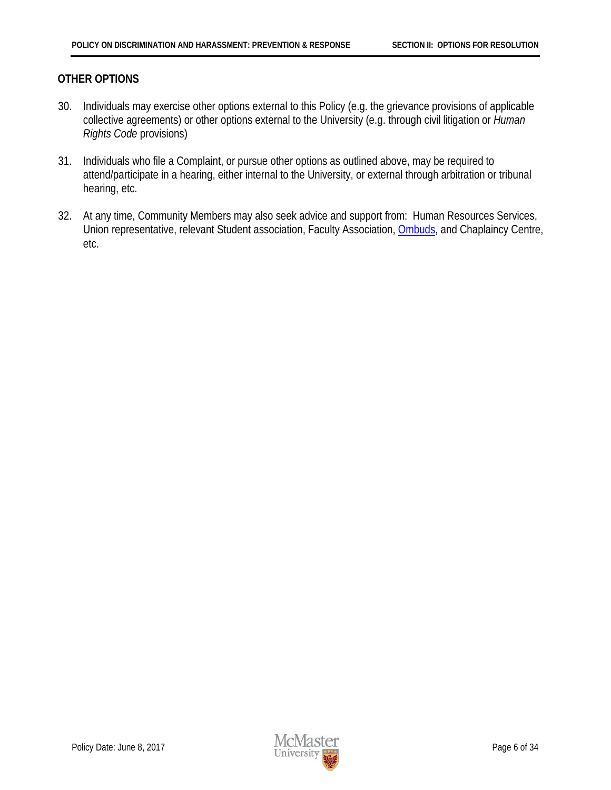# <span id="page-8-0"></span>**OTHER OPTIONS**

- 30. Individuals may exercise other options external to this Policy (e.g. the grievance provisions of applicable collective agreements) or other options external to the University (e.g. through civil litigation or *Human Rights Code* provisions)
- 31. Individuals who file a Complaint, or pursue other options as outlined above, may be required to attend/participate in a hearing, either internal to the University, or external through arbitration or tribunal hearing, etc.
- 32. At any time, Community Members may also seek advice and support from: Human Resources Services, Union representative, relevant Student association, Faculty Association, [Ombuds,](#page-10-0) and Chaplaincy Centre, etc.

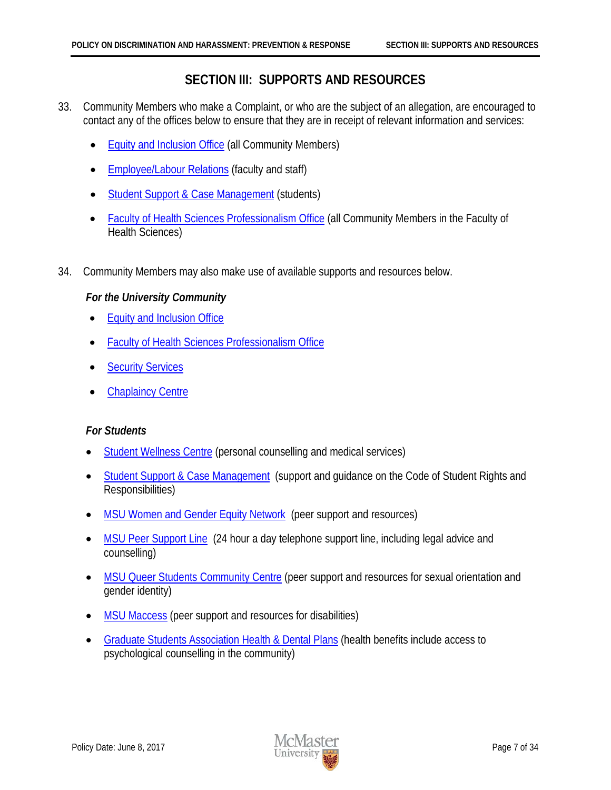# **SECTION III: SUPPORTS AND RESOURCES**

- <span id="page-9-0"></span>33. Community Members who make a Complaint, or who are the subject of an allegation, are encouraged to contact any of the offices below to ensure that they are in receipt of relevant information and services:
	- [Equity and Inclusion Office](http://hres.mcmaster.ca/) (all Community Members)
	- **[Employee/Labour Relations](http://www.workingatmcmaster.ca/elr/index.php) (faculty and staff)**
	- [Student Support & Case Management](http://studentconduct.mcmaster.ca/) (students)
	- [Faculty of Health Sciences Professionalism Office](https://fhs.mcmaster.ca/pcbe/) (all Community Members in the Faculty of Health Sciences)
- <span id="page-9-1"></span>34. Community Members may also make use of available supports and resources below.

# *For the University Community*

- [Equity and Inclusion Office](https://equity.mcmaster.ca/)
- [Faculty of Health Sciences Professionalism Office](https://fhs.mcmaster.ca/pcbe/)
- **[Security Services](http://security.mcmaster.ca/)**
- **[Chaplaincy Centre](http://www.mcmaster.ca/chaplain/)**

# *For Students*

- [Student Wellness Centre](https://wellness.mcmaster.ca/) (personal counselling and medical services)
- **[Student Support & Case Management](http://studentconduct.mcmaster.ca/) (support and guidance on the Code of Student Rights and** Responsibilities)
- [MSU Women and Gender Equity Network](https://www.msumcmaster.ca/services-directory/46-women-and-gender-equity-network) (peer support and resources)
- **MSU Peer Support Line** (24 hour a day telephone support line, including legal advice and counselling)
- MSU Queer Students Community Centre (peer support and resources for sexual orientation and gender identity)
- MSU Maccess (peer support and resources for disabilities)
- [Graduate Students Association Health](http://gsa.mcmaster.ca/health-plan.html) & Dental Plans (health benefits include access to psychological counselling in the community)

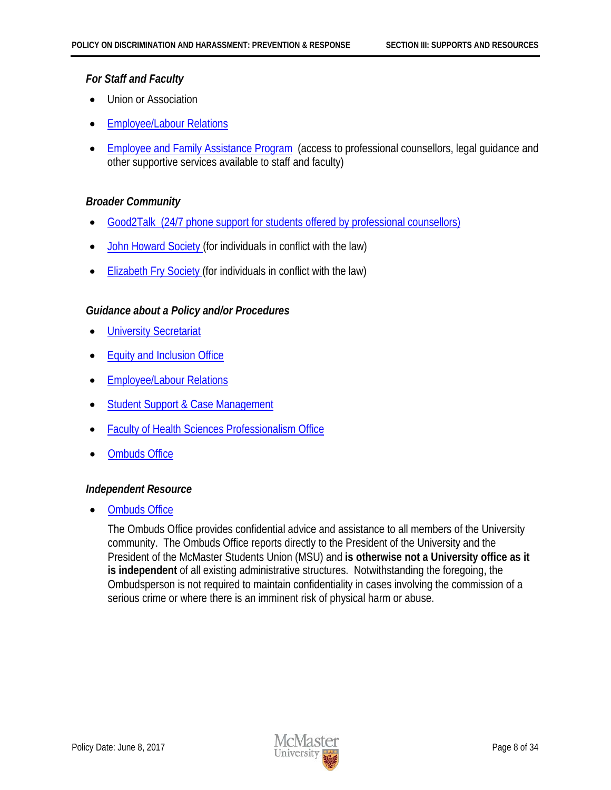### *For Staff and Faculty*

- Union or Association
- [Employee/Labour Relations](http://www.workingatmcmaster.ca/elr/index.php)
- [Employee and Family Assistance Program](http://www.workingatmcmaster.ca/humansolutions/) (access to professional counsellors, legal guidance and other supportive services available to staff and faculty)

## *Broader Community*

- Good2Talk (24/7 phone support for students offered by professional counsellors)
- **[John Howard Society](http://johnhoward.on.ca/hamilton/services/community-programs/) (for individuals in conflict with the law)**
- **[Elizabeth Fry Society](http://efrysouthernontarioregion.org/home) (for individuals in conflict with the law)**

## *Guidance about a Policy and/or Procedures*

- **[University Secretariat](http://www.mcmaster.ca/univsec/)**
- **[Equity and Inclusion Office](https://equity.mcmaster.ca/)**
- [Employee/Labour Relations](http://www.workingatmcmaster.ca/elr/index.php)
- [Student Support & Case Management](http://studentconduct.mcmaster.ca/)
- [Faculty of Health Sciences Professionalism Office](https://fhs.mcmaster.ca/pcbe/)
- **Ombuds Office**

## <span id="page-10-0"></span>*Independent Resource*

**[Ombuds Office](http://www.mcmaster.ca/ombuds/)** 

The Ombuds Office provides confidential advice and assistance to all members of the University community. The Ombuds Office reports directly to the President of the University and the President of the McMaster Students Union (MSU) and **is otherwise not a University office as it is independent** of all existing administrative structures. Notwithstanding the foregoing, the Ombudsperson is not required to maintain confidentiality in cases involving the commission of a serious crime or where there is an imminent risk of physical harm or abuse.

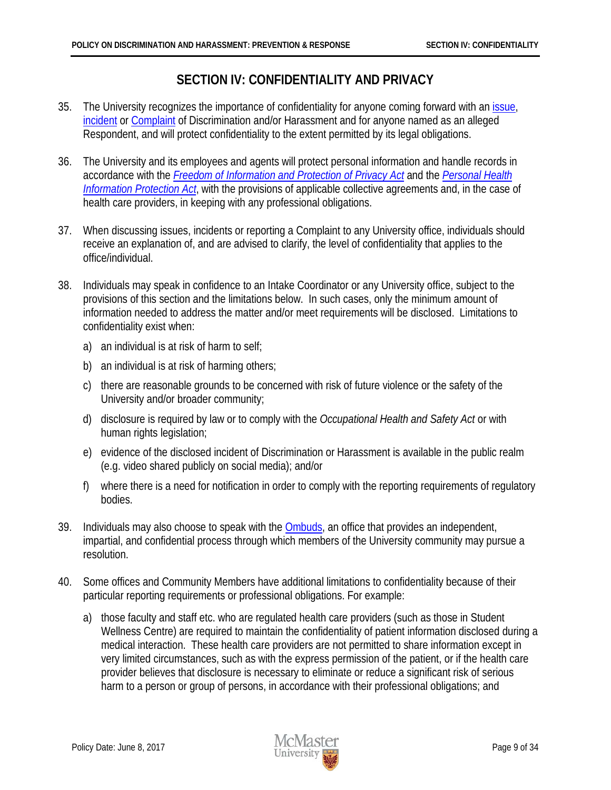# **SECTION IV: CONFIDENTIALITY AND PRIVACY**

- <span id="page-11-0"></span>35. The University recognizes the importance of confidentiality for anyone coming forward with an [issue,](#page-31-0) [incident](#page-30-4) or [Complaint](#page-29-2) of Discrimination and/or Harassment and for anyone named as an alleged Respondent, and will protect confidentiality to the extent permitted by its legal obligations.
- 36. The University and its employees and agents will protect personal information and handle records in accordance with the *[Freedom of Information and Protection of Privacy Act](http://www.e-laws.gov.on.ca/html/statutes/english/elaws_statutes_90f31_e.htm)* and the *[Personal Health](http://www.e-laws.gov.on.ca/html/statutes/english/elaws_statutes_04p03_e.htm)  [Information Protection Act](http://www.e-laws.gov.on.ca/html/statutes/english/elaws_statutes_04p03_e.htm)*, with the provisions of applicable collective agreements and, in the case of health care providers, in keeping with any professional obligations.
- 37. When discussing issues, incidents or reporting a Complaint to any University office, individuals should receive an explanation of, and are advised to clarify, the level of confidentiality that applies to the office/individual.
- 38. Individuals may speak in confidence to an Intake Coordinator or any University office, subject to the provisions of this section and the limitations below. In such cases, only the minimum amount of information needed to address the matter and/or meet requirements will be disclosed. Limitations to confidentiality exist when:
	- a) an individual is at risk of harm to self;
	- b) an individual is at risk of harming others;
	- c) there are reasonable grounds to be concerned with risk of future violence or the safety of the University and/or broader community;
	- d) disclosure is required by law or to comply with the *Occupational Health and Safety Act* or with human rights legislation;
	- e) evidence of the disclosed incident of Discrimination or Harassment is available in the public realm (e.g. video shared publicly on social media); and/or
	- f) where there is a need for notification in order to comply with the reporting requirements of regulatory bodies.
- 39. Individuals may also choose to speak with the [Ombuds,](http://www.mcmaster.ca/ombuds/) an office that provides an independent, impartial, and confidential process through which members of the University community may pursue a resolution.
- 40. Some offices and Community Members have additional limitations to confidentiality because of their particular reporting requirements or professional obligations. For example:
	- a) those faculty and staff etc. who are regulated health care providers (such as those in Student Wellness Centre) are required to maintain the confidentiality of patient information disclosed during a medical interaction. These health care providers are not permitted to share information except in very limited circumstances, such as with the express permission of the patient, or if the health care provider believes that disclosure is necessary to eliminate or reduce a significant risk of serious harm to a person or group of persons, in accordance with their professional obligations; and

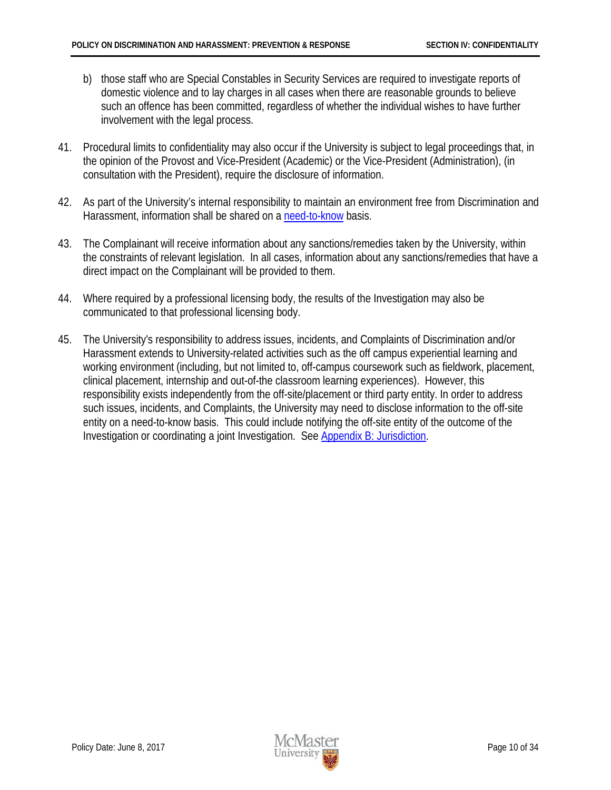- b) those staff who are Special Constables in Security Services are required to investigate reports of domestic violence and to lay charges in all cases when there are reasonable grounds to believe such an offence has been committed, regardless of whether the individual wishes to have further involvement with the legal process.
- 41. Procedural limits to confidentiality may also occur if the University is subject to legal proceedings that, in the opinion of the Provost and Vice-President (Academic) or the Vice-President (Administration), (in consultation with the President), require the disclosure of information.
- 42. As part of the University's internal responsibility to maintain an environment free from Discrimination and Harassment, information shall be shared on [a need-to-know](#page-31-1) basis.
- 43. The Complainant will receive information about any sanctions/remedies taken by the University, within the constraints of relevant legislation. In all cases, information about any sanctions/remedies that have a direct impact on the Complainant will be provided to them.
- 44. Where required by a professional licensing body, the results of the Investigation may also be communicated to that professional licensing body.
- 45. The University's responsibility to address issues, incidents, and Complaints of Discrimination and/or Harassment extends to University-related activities such as the off campus experiential learning and working environment (including, but not limited to, off-campus coursework such as fieldwork, placement, clinical placement, internship and out-of-the classroom learning experiences). However, this responsibility exists independently from the off-site/placement or third party entity. In order to address such issues, incidents, and Complaints, the University may need to disclose information to the off-site entity on a need-to-know basis. This could include notifying the off-site entity of the outcome of the Investigation or coordinating a joint Investigation. See [Appendix B: Jurisdiction.](#page-27-0)

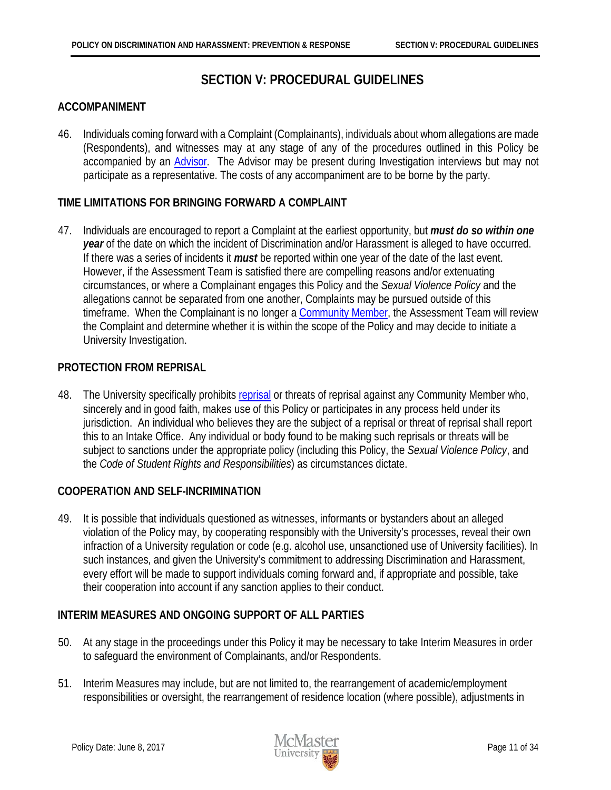# **SECTION V: PROCEDURAL GUIDELINES**

## <span id="page-13-1"></span><span id="page-13-0"></span>**ACCOMPANIMENT**

46. Individuals coming forward with a Complaint (Complainants), individuals about whom allegations are made (Respondents), and witnesses may at any stage of any of the procedures outlined in this Policy be accompanied by an [Advisor.](#page-29-3) The Advisor may be present during Investigation interviews but may not participate as a representative. The costs of any accompaniment are to be borne by the party.

## <span id="page-13-2"></span>**TIME LIMITATIONS FOR BRINGING FORWARD A COMPLAINT**

47. Individuals are encouraged to report a Complaint at the earliest opportunity, but *must do so within one year* of the date on which the incident of Discrimination and/or Harassment is alleged to have occurred. If there was a series of incidents it *must* be reported within one year of the date of the last event. However, if the Assessment Team is satisfied there are compelling reasons and/or extenuating circumstances, or where a Complainant engages this Policy and the *Sexual Violence Policy* and the allegations cannot be separated from one another, Complaints may be pursued outside of this timeframe. When the Complainant is no longer a [Community Member,](#page-4-3) the Assessment Team will review the Complaint and determine whether it is within the scope of the Policy and may decide to initiate a University Investigation.

## <span id="page-13-3"></span>**PROTECTION FROM REPRISAL**

48. The University specifically prohibits [reprisal](#page-31-2) or threats of reprisal against any Community Member who, sincerely and in good faith, makes use of this Policy or participates in any process held under its jurisdiction. An individual who believes they are the subject of a reprisal or threat of reprisal shall report this to an Intake Office. Any individual or body found to be making such reprisals or threats will be subject to sanctions under the appropriate policy (including this Policy, the *Sexual Violence Policy*, and the *Code of Student Rights and Responsibilities*) as circumstances dictate.

## <span id="page-13-4"></span>**COOPERATION AND SELF-INCRIMINATION**

49. It is possible that individuals questioned as witnesses, informants or bystanders about an alleged violation of the Policy may, by cooperating responsibly with the University's processes, reveal their own infraction of a University regulation or code (e.g. alcohol use, unsanctioned use of University facilities). In such instances, and given the University's commitment to addressing Discrimination and Harassment, every effort will be made to support individuals coming forward and, if appropriate and possible, take their cooperation into account if any sanction applies to their conduct.

## <span id="page-13-5"></span>**INTERIM MEASURES AND ONGOING SUPPORT OF ALL PARTIES**

- 50. At any stage in the proceedings under this Policy it may be necessary to take Interim Measures in order to safeguard the environment of Complainants, and/or Respondents.
- 51. Interim Measures may include, but are not limited to, the rearrangement of academic/employment responsibilities or oversight, the rearrangement of residence location (where possible), adjustments in

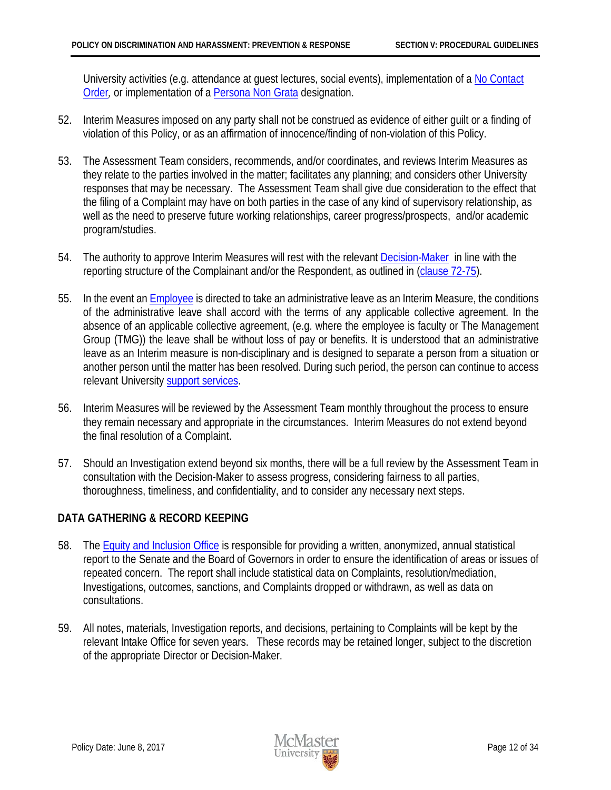University activities (e.g. attendance at guest lectures, social events), implementation of a No Contact [Order](#page-31-3)*,* or implementation of a [Persona Non Grata](#page-31-4) designation.

- 52. Interim Measures imposed on any party shall not be construed as evidence of either guilt or a finding of violation of this Policy, or as an affirmation of innocence/finding of non-violation of this Policy.
- 53. The Assessment Team considers, recommends, and/or coordinates, and reviews Interim Measures as they relate to the parties involved in the matter; facilitates any planning; and considers other University responses that may be necessary. The Assessment Team shall give due consideration to the effect that the filing of a Complaint may have on both parties in the case of any kind of supervisory relationship, as well as the need to preserve future working relationships, career progress/prospects, and/or academic program/studies.
- 54. The authority to approve Interim Measures will rest with the relevant [Decision-Maker](#page-17-2) in line with the reporting structure of the Complainant and/or the Respondent, as outlined in [\(clause 72-75\)](#page-17-2).
- 55. In the event an [Employee](#page-30-5) is directed to take an administrative leave as an Interim Measure, the conditions of the administrative leave shall accord with the terms of any applicable collective agreement. In the absence of an applicable collective agreement, (e.g. where the employee is faculty or The Management Group (TMG)) the leave shall be without loss of pay or benefits. It is understood that an administrative leave as an Interim measure is non-disciplinary and is designed to separate a person from a situation or another person until the matter has been resolved. During such period, the person can continue to access relevant University [support services.](#page-9-1)
- <span id="page-14-1"></span>56. Interim Measures will be reviewed by the Assessment Team monthly throughout the process to ensure they remain necessary and appropriate in the circumstances. Interim Measures do not extend beyond the final resolution of a Complaint.
- 57. Should an Investigation extend beyond six months, there will be a full review by the Assessment Team in consultation with the Decision-Maker to assess progress, considering fairness to all parties, thoroughness, timeliness, and confidentiality, and to consider any necessary next steps.

# <span id="page-14-0"></span>**DATA GATHERING & RECORD KEEPING**

- 58. The [Equity and Inclusion Office](http://hres.mcmaster.ca/) is responsible for providing a written, anonymized, annual statistical report to the Senate and the Board of Governors in order to ensure the identification of areas or issues of repeated concern. The report shall include statistical data on Complaints, resolution/mediation, Investigations, outcomes, sanctions, and Complaints dropped or withdrawn, as well as data on consultations.
- 59. All notes, materials, Investigation reports, and decisions, pertaining to Complaints will be kept by the relevant Intake Office for seven years. These records may be retained longer, subject to the discretion of the appropriate Director or Decision-Maker.

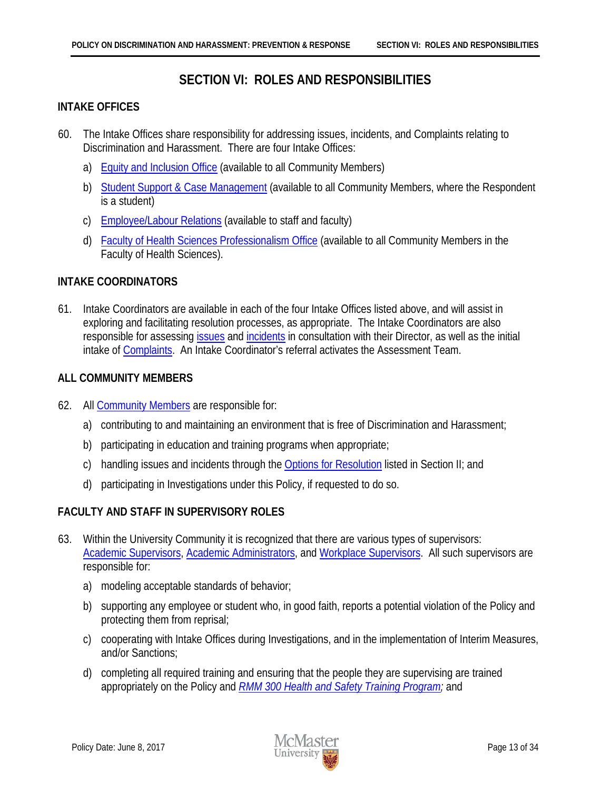# **SECTION VI: ROLES AND RESPONSIBILITIES**

## <span id="page-15-1"></span><span id="page-15-0"></span>**INTAKE OFFICES**

- 60. The Intake Offices share responsibility for addressing issues, incidents, and Complaints relating to Discrimination and Harassment. There are four Intake Offices:
	- a) [Equity and Inclusion Office](http://hres.mcmaster.ca/) (available to all Community Members)
	- b) [Student Support & Case Management](http://studentconduct.mcmaster.ca/) (available to all Community Members, where the Respondent is a student)
	- c) [Employee/Labour Relations](http://www.workingatmcmaster.ca/elr/index.php) (available to staff and faculty)
	- d) [Faculty of Health Sciences Professionalism Office](https://fhs.mcmaster.ca/pcbe/) (available to all Community Members in the Faculty of Health Sciences).

## <span id="page-15-2"></span>**INTAKE COORDINATORS**

61. Intake Coordinators are available in each of the four Intake Offices listed above, and will assist in exploring and facilitating resolution processes, as appropriate. The Intake Coordinators are also responsible for assessing [issues](#page-31-0) and [incidents](#page-30-4) in consultation with their Director, as well as the initial intake of [Complaints.](#page-29-2) An Intake Coordinator's referral activates the Assessment Team.

## <span id="page-15-3"></span>**ALL COMMUNITY MEMBERS**

- 62. All [Community Members](#page-4-3) are responsible for:
	- a) contributing to and maintaining an environment that is free of Discrimination and Harassment;
	- b) participating in education and training programs when appropriate;
	- c) handling issues and incidents through the [Options for Resolution](#page-7-0) listed in Section II; and
	- d) participating in Investigations under this Policy, if requested to do so.

## <span id="page-15-4"></span>**FACULTY AND STAFF IN SUPERVISORY ROLES**

- 63. Within the University Community it is recognized that there are various types of supervisors: [Academic Supervisors,](#page-32-1) [Academic Administrators,](#page-32-2) and [Workplace Supervisors.](#page-32-3) All such supervisors are responsible for:
	- a) modeling acceptable standards of behavior;
	- b) supporting any employee or student who, in good faith, reports a potential violation of the Policy and protecting them from reprisal;
	- c) cooperating with Intake Offices during Investigations, and in the implementation of Interim Measures, and/or Sanctions;
	- d) completing all required training and ensuring that the people they are supervising are trained appropriately on the Policy and *[RMM 300 Health and Safety Training Program;](http://www.workingatmcmaster.ca/med/document/RMM-300-Health-and-Safety-Training-Program-1-36.pdf)* and

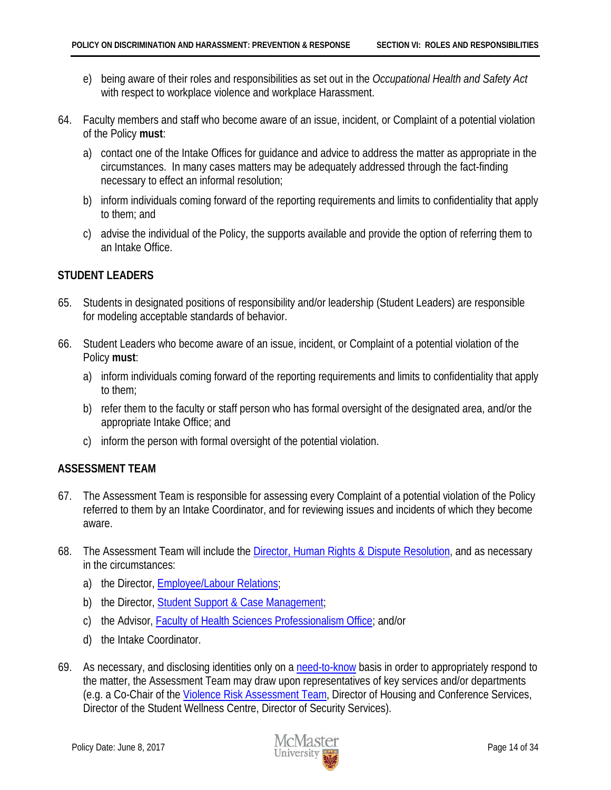- e) being aware of their roles and responsibilities as set out in the *Occupational Health and Safety Act* with respect to workplace violence and workplace Harassment.
- 64. Faculty members and staff who become aware of an issue, incident, or Complaint of a potential violation of the Policy **must**:
	- a) contact one of the Intake Offices for guidance and advice to address the matter as appropriate in the circumstances. In many cases matters may be adequately addressed through the fact-finding necessary to effect an informal resolution;
	- b) inform individuals coming forward of the reporting requirements and limits to confidentiality that apply to them; and
	- c) advise the individual of the Policy, the supports available and provide the option of referring them to an Intake Office.

# <span id="page-16-0"></span>**STUDENT LEADERS**

- 65. Students in designated positions of responsibility and/or leadership (Student Leaders) are responsible for modeling acceptable standards of behavior.
- 66. Student Leaders who become aware of an issue, incident, or Complaint of a potential violation of the Policy **must**:
	- a) inform individuals coming forward of the reporting requirements and limits to confidentiality that apply to them;
	- b) refer them to the faculty or staff person who has formal oversight of the designated area, and/or the appropriate Intake Office; and
	- c) inform the person with formal oversight of the potential violation.

# <span id="page-16-1"></span>**ASSESSMENT TEAM**

- 67. The Assessment Team is responsible for assessing every Complaint of a potential violation of the Policy referred to them by an Intake Coordinator, and for reviewing issues and incidents of which they become aware.
- 68. The Assessment Team will include the [Director, Human Rights & Dispute Resolution,](http://equity.mcmaster.ca/contact-us) and as necessary in the circumstances:
	- a) the Director, [Employee/Labour Relations;](http://www.workingatmcmaster.ca/elr/index.php)
	- b) the Director, [Student Support & Case Management;](http://studentconduct.mcmaster.ca/)
	- c) the Advisor, [Faculty of Health Sciences Professionalism Office;](https://fhs.mcmaster.ca/pcbe/) and/or
	- d) the Intake Coordinator.
- 69. As necessary, and disclosing identities only on a [need-to-know](#page-31-1) basis in order to appropriately respond to the matter, the Assessment Team may draw upon representatives of key services and/or departments (e.g. a Co-Chair of the [Violence Risk Assessment Team,](#page-33-1) Director of Housing and Conference Services, Director of the Student Wellness Centre, Director of Security Services).

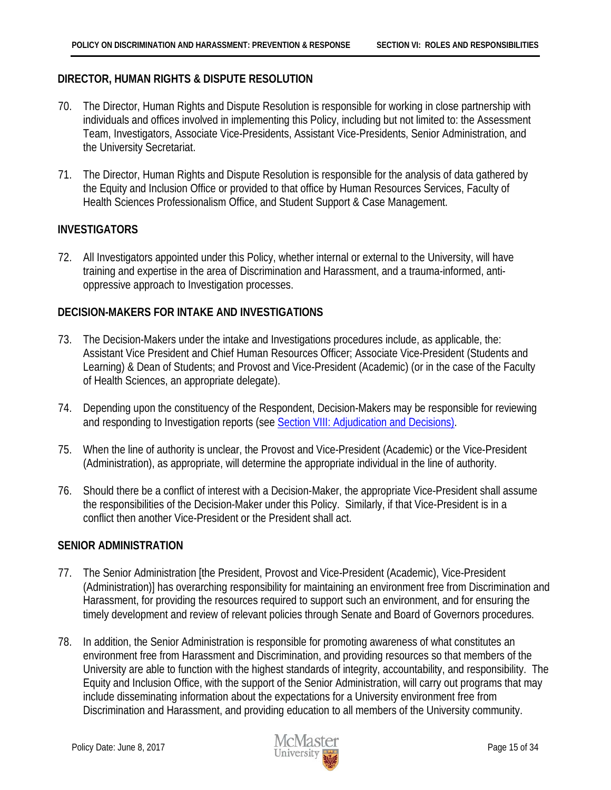## <span id="page-17-0"></span>**DIRECTOR, HUMAN RIGHTS & DISPUTE RESOLUTION**

- 70. The Director, Human Rights and Dispute Resolution is responsible for working in close partnership with individuals and offices involved in implementing this Policy, including but not limited to: the Assessment Team, Investigators, Associate Vice-Presidents, Assistant Vice-Presidents, Senior Administration, and the University Secretariat.
- 71. The Director, Human Rights and Dispute Resolution is responsible for the analysis of data gathered by the Equity and Inclusion Office or provided to that office by Human Resources Services, Faculty of Health Sciences Professionalism Office, and Student Support & Case Management.

# <span id="page-17-1"></span>**INVESTIGATORS**

72. All Investigators appointed under this Policy, whether internal or external to the University, will have training and expertise in the area of Discrimination and Harassment, and a trauma-informed, antioppressive approach to Investigation processes.

# <span id="page-17-2"></span>**DECISION-MAKERS FOR INTAKE AND INVESTIGATIONS**

- 73. The Decision-Makers under the intake and Investigations procedures include, as applicable, the: Assistant Vice President and Chief Human Resources Officer; Associate Vice-President (Students and Learning) & Dean of Students; and Provost and Vice-President (Academic) (or in the case of the Faculty of Health Sciences, an appropriate delegate).
- 74. Depending upon the constituency of the Respondent, Decision-Makers may be responsible for reviewing and responding to Investigation reports (see **Section VIII: Adjudication and Decisions**).
- 75. When the line of authority is unclear, the Provost and Vice-President (Academic) or the Vice-President (Administration), as appropriate, will determine the appropriate individual in the line of authority.
- 76. Should there be a conflict of interest with a Decision-Maker, the appropriate Vice-President shall assume the responsibilities of the Decision-Maker under this Policy. Similarly, if that Vice-President is in a conflict then another Vice-President or the President shall act.

## <span id="page-17-3"></span>**SENIOR ADMINISTRATION**

- 77. The Senior Administration [the President, Provost and Vice-President (Academic), Vice-President (Administration)] has overarching responsibility for maintaining an environment free from Discrimination and Harassment, for providing the resources required to support such an environment, and for ensuring the timely development and review of relevant policies through Senate and Board of Governors procedures.
- 78. In addition, the Senior Administration is responsible for promoting awareness of what constitutes an environment free from Harassment and Discrimination, and providing resources so that members of the University are able to function with the highest standards of integrity, accountability, and responsibility. The Equity and Inclusion Office, with the support of the Senior Administration, will carry out programs that may include disseminating information about the expectations for a University environment free from Discrimination and Harassment, and providing education to all members of the University community.

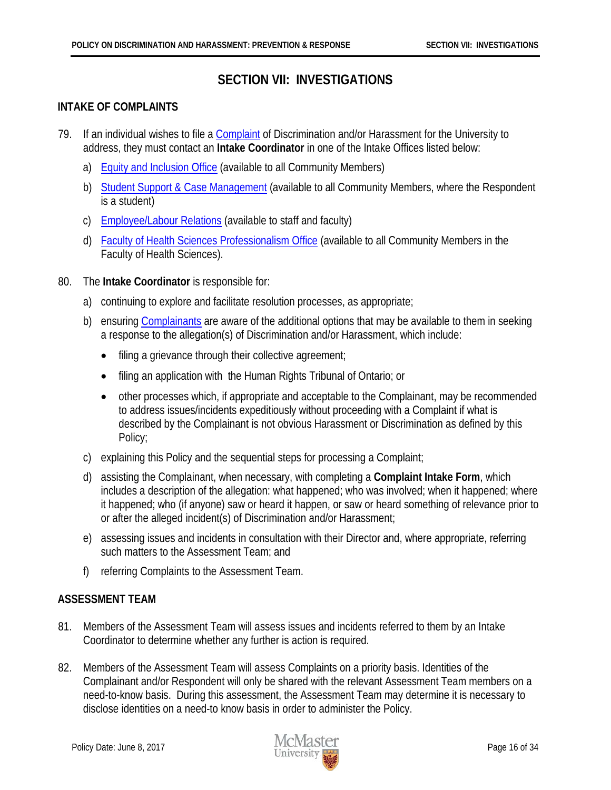# **SECTION VII: INVESTIGATIONS**

# <span id="page-18-1"></span><span id="page-18-0"></span>**INTAKE OF COMPLAINTS**

- 79. If an individual wishes to file a [Complaint](#page-29-2) of Discrimination and/or Harassment for the University to address, they must contact an **Intake Coordinator** in one of the Intake Offices listed below:
	- a) [Equity and Inclusion Office](http://hres.mcmaster.ca/) (available to all Community Members)
	- b) [Student Support & Case Management](http://studentconduct.mcmaster.ca/) (available to all Community Members, where the Respondent is a student)
	- c) [Employee/Labour Relations](http://www.workingatmcmaster.ca/elr/index.php) (available to staff and faculty)
	- d) [Faculty of Health Sciences Professionalism Office](https://fhs.mcmaster.ca/pcbe/) (available to all Community Members in the Faculty of Health Sciences).
- 80. The **Intake Coordinator** is responsible for:
	- a) continuing to explore and facilitate resolution processes, as appropriate;
	- b) ensuring [Complainants](#page-29-4) are aware of the additional options that may be available to them in seeking a response to the allegation(s) of Discrimination and/or Harassment, which include:
		- filing a grievance through their collective agreement;
		- filing an application with the Human Rights Tribunal of Ontario; or
		- other processes which, if appropriate and acceptable to the Complainant, may be recommended to address issues/incidents expeditiously without proceeding with a Complaint if what is described by the Complainant is not obvious Harassment or Discrimination as defined by this Policy;
	- c) explaining this Policy and the sequential steps for processing a Complaint;
	- d) assisting the Complainant, when necessary, with completing a **Complaint Intake Form**, which includes a description of the allegation: what happened; who was involved; when it happened; where it happened; who (if anyone) saw or heard it happen, or saw or heard something of relevance prior to or after the alleged incident(s) of Discrimination and/or Harassment;
	- e) assessing issues and incidents in consultation with their Director and, where appropriate, referring such matters to the Assessment Team; and
	- f) referring Complaints to the Assessment Team.

# <span id="page-18-2"></span>**ASSESSMENT TEAM**

- 81. Members of the Assessment Team will assess issues and incidents referred to them by an Intake Coordinator to determine whether any further is action is required.
- 82. Members of the Assessment Team will assess Complaints on a priority basis. Identities of the Complainant and/or Respondent will only be shared with the relevant Assessment Team members on a need-to-know basis. During this assessment, the Assessment Team may determine it is necessary to disclose identities on a need-to know basis in order to administer the Policy.

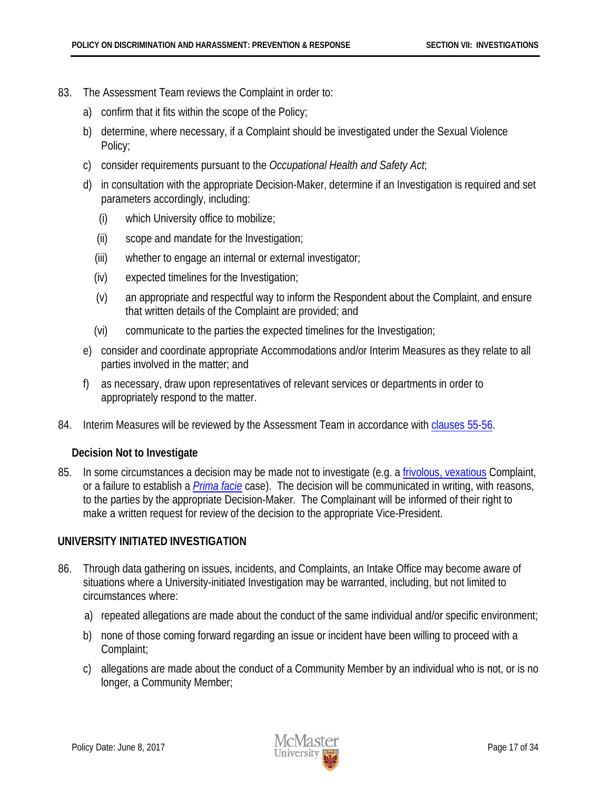- 83. The Assessment Team reviews the Complaint in order to:
	- a) confirm that it fits within the scope of the Policy;
	- b) determine, where necessary, if a Complaint should be investigated under the Sexual Violence Policy;
	- c) consider requirements pursuant to the *Occupational Health and Safety Act*;
	- d) in consultation with the appropriate Decision-Maker, determine if an Investigation is required and set parameters accordingly, including:
		- (i) which University office to mobilize;
		- (ii) scope and mandate for the Investigation;
		- (iii) whether to engage an internal or external investigator;
		- (iv) expected timelines for the Investigation;
		- (v) an appropriate and respectful way to inform the Respondent about the Complaint, and ensure that written details of the Complaint are provided; and
		- (vi) communicate to the parties the expected timelines for the Investigation;
	- e) consider and coordinate appropriate Accommodations and/or Interim Measures as they relate to all parties involved in the matter; and
	- f) as necessary, draw upon representatives of relevant services or departments in order to appropriately respond to the matter.
- 84. Interim Measures will be reviewed by the Assessment Team in accordance with [clauses](#page-14-1) 55-56.

## <span id="page-19-0"></span>**Decision Not to Investigate**

85. In some circumstances a decision may be made not to investigate (e.g. a [frivolous, vexatious](#page-30-6) Complaint, or a failure to establish a *[Prima facie](#page-31-5)* case). The decision will be communicated in writing, with reasons, to the parties by the appropriate Decision-Maker. The Complainant will be informed of their right to make a written request for review of the decision to the appropriate Vice-President.

## <span id="page-19-1"></span>**UNIVERSITY INITIATED INVESTIGATION**

- 86. Through data gathering on issues, incidents, and Complaints, an Intake Office may become aware of situations where a University-initiated Investigation may be warranted, including, but not limited to circumstances where:
	- a) repeated allegations are made about the conduct of the same individual and/or specific environment;
	- b) none of those coming forward regarding an issue or incident have been willing to proceed with a Complaint;
	- c) allegations are made about the conduct of a Community Member by an individual who is not, or is no longer, a Community Member;

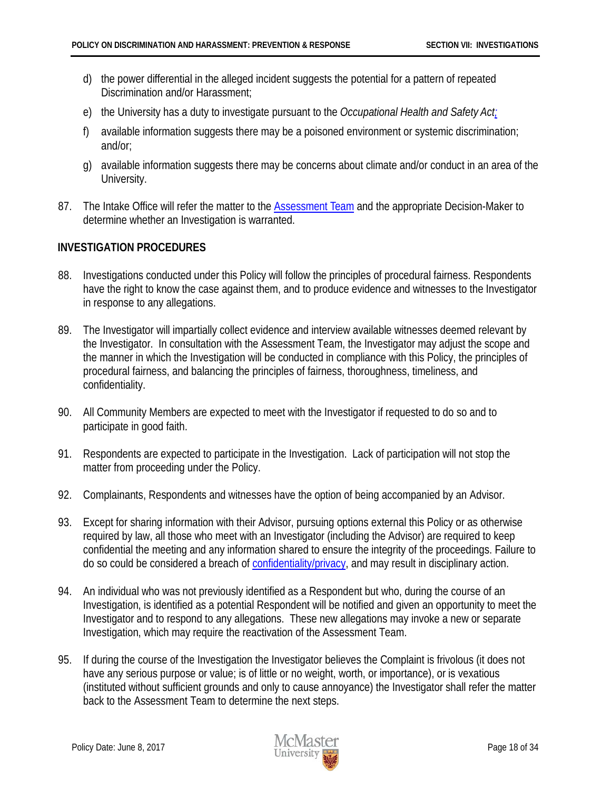- d) the power differential in the alleged incident suggests the potential for a pattern of repeated Discrimination and/or Harassment;
- e) the University has a duty to investigate pursuant to the *Occupational Health and Safety Act;*
- f) available information suggests there may be a poisoned environment or systemic discrimination; and/or;
- g) available information suggests there may be concerns about climate and/or conduct in an area of the University.
- 87. The Intake Office will refer the matter to th[e Assessment Team](#page-16-1) and the appropriate Decision-Maker to determine whether an Investigation is warranted.

# <span id="page-20-0"></span>**INVESTIGATION PROCEDURES**

- 88. Investigations conducted under this Policy will follow the principles of procedural fairness. Respondents have the right to know the case against them, and to produce evidence and witnesses to the Investigator in response to any allegations.
- 89. The Investigator will impartially collect evidence and interview available witnesses deemed relevant by the Investigator. In consultation with the Assessment Team, the Investigator may adjust the scope and the manner in which the Investigation will be conducted in compliance with this Policy, the principles of procedural fairness, and balancing the principles of fairness, thoroughness, timeliness, and confidentiality.
- 90. All Community Members are expected to meet with the Investigator if requested to do so and to participate in good faith.
- 91. Respondents are expected to participate in the Investigation. Lack of participation will not stop the matter from proceeding under the Policy.
- 92. Complainants, Respondents and witnesses have the option of being accompanied by an Advisor.
- 93. Except for sharing information with their Advisor, pursuing options external this Policy or as otherwise required by law, all those who meet with an Investigator (including the Advisor) are required to keep confidential the meeting and any information shared to ensure the integrity of the proceedings. Failure to do so could be considered a breach of [confidentiality/privacy,](#page-11-0) and may result in disciplinary action.
- 94. An individual who was not previously identified as a Respondent but who, during the course of an Investigation, is identified as a potential Respondent will be notified and given an opportunity to meet the Investigator and to respond to any allegations. These new allegations may invoke a new or separate Investigation, which may require the reactivation of the Assessment Team.
- 95. If during the course of the Investigation the Investigator believes the Complaint is frivolous (it does not have any serious purpose or value; is of little or no weight, worth, or importance), or is vexatious (instituted without sufficient grounds and only to cause annoyance) the Investigator shall refer the matter back to the Assessment Team to determine the next steps.

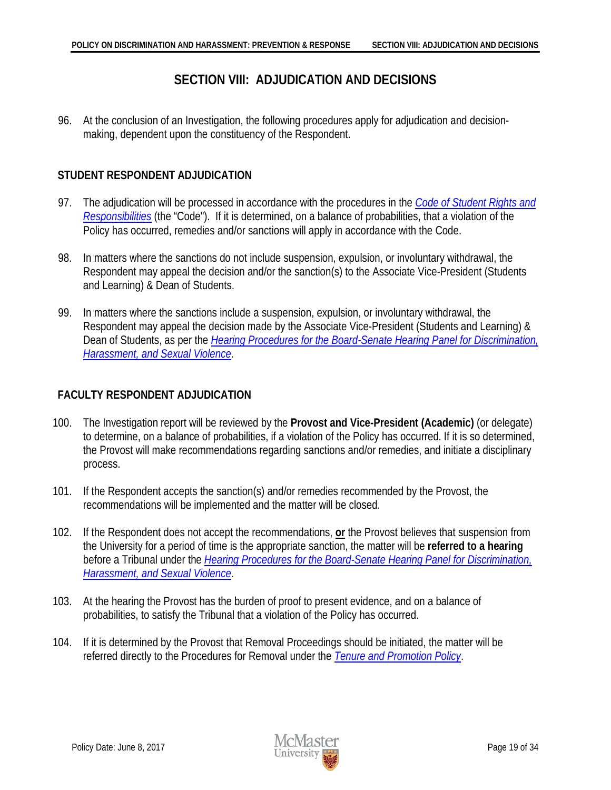# **SECTION VIII: ADJUDICATION AND DECISIONS**

<span id="page-21-0"></span>96. At the conclusion of an Investigation, the following procedures apply for adjudication and decisionmaking, dependent upon the constituency of the Respondent.

# <span id="page-21-1"></span>**STUDENT RESPONDENT ADJUDICATION**

- 97. The adjudication will be processed in accordance with the procedures in the *[Code of Student Rights and](http://www.mcmaster.ca/policy/Students-AcademicStudies/Code_of_Student_Rights_and_Responsibilities.pdf)  [Responsibilities](http://www.mcmaster.ca/policy/Students-AcademicStudies/Code_of_Student_Rights_and_Responsibilities.pdf)* (the "Code"). If it is determined, on a balance of probabilities, that a violation of the Policy has occurred, remedies and/or sanctions will apply in accordance with the Code.
- 98. In matters where the sanctions do not include suspension, expulsion, or involuntary withdrawal, the Respondent may appeal the decision and/or the sanction(s) to the Associate Vice-President (Students and Learning) & Dean of Students.
- 99. In matters where the sanctions include a suspension, expulsion, or involuntary withdrawal, the Respondent may appeal the decision made by the Associate Vice-President (Students and Learning) & Dean of Students, as per the *[Hearing Procedures for the Board-Senate](http://www.mcmaster.ca/policy/General/HR/Hearing_Procedures_DHSV.pdf) Hearing Panel for Discrimination, [Harassment, and Sexual Violence](http://www.mcmaster.ca/policy/General/HR/Hearing_Procedures_DHSV.pdf)*.

# <span id="page-21-2"></span>**FACULTY RESPONDENT ADJUDICATION**

- 100. The Investigation report will be reviewed by the **Provost and Vice-President (Academic)** (or delegate) to determine, on a balance of probabilities, if a violation of the Policy has occurred. If it is so determined, the Provost will make recommendations regarding sanctions and/or remedies, and initiate a disciplinary process.
- 101. If the Respondent accepts the sanction(s) and/or remedies recommended by the Provost, the recommendations will be implemented and the matter will be closed.
- 102. If the Respondent does not accept the recommendations, **or** the Provost believes that suspension from the University for a period of time is the appropriate sanction, the matter will be **referred to a hearing** before a Tribunal under the *[Hearing Procedures for the Board-Senate Hearing Panel for Discrimination,](http://www.mcmaster.ca/policy/General/HR/Hearing_Procedures_DHSV.pdf)  [Harassment, and Sexual Violence](http://www.mcmaster.ca/policy/General/HR/Hearing_Procedures_DHSV.pdf)*.
- 103. At the hearing the Provost has the burden of proof to present evidence, and on a balance of probabilities, to satisfy the Tribunal that a violation of the Policy has occurred.
- 104. If it is determined by the Provost that Removal Proceedings should be initiated, the matter will be referred directly to the Procedures for Removal under the *[Tenure and Promotion Policy](http://www.mcmaster.ca/policy/faculty/Appointments/Tenure_and_Promotion_January%202012.pdf)*.

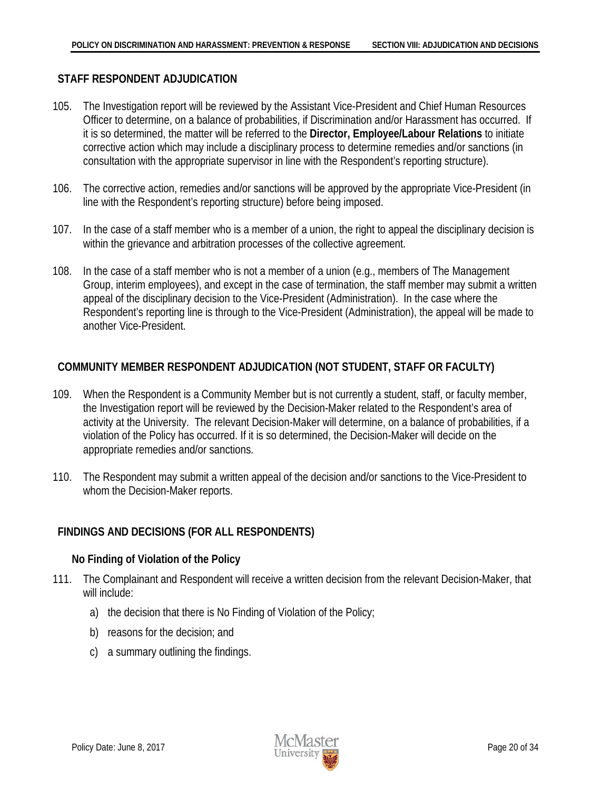# <span id="page-22-0"></span>**STAFF RESPONDENT ADJUDICATION**

- 105. The Investigation report will be reviewed by the Assistant Vice-President and Chief Human Resources Officer to determine, on a balance of probabilities, if Discrimination and/or Harassment has occurred. If it is so determined, the matter will be referred to the **Director, Employee/Labour Relations** to initiate corrective action which may include a disciplinary process to determine remedies and/or sanctions (in consultation with the appropriate supervisor in line with the Respondent's reporting structure).
- 106. The corrective action, remedies and/or sanctions will be approved by the appropriate Vice-President (in line with the Respondent's reporting structure) before being imposed.
- 107. In the case of a staff member who is a member of a union, the right to appeal the disciplinary decision is within the grievance and arbitration processes of the collective agreement.
- 108. In the case of a staff member who is not a member of a union (e.g., members of The Management Group, interim employees), and except in the case of termination, the staff member may submit a written appeal of the disciplinary decision to the Vice-President (Administration). In the case where the Respondent's reporting line is through to the Vice-President (Administration), the appeal will be made to another Vice-President.

# <span id="page-22-1"></span>**COMMUNITY MEMBER RESPONDENT ADJUDICATION (NOT STUDENT, STAFF OR FACULTY)**

- 109. When the Respondent is a Community Member but is not currently a student, staff, or faculty member, the Investigation report will be reviewed by the Decision-Maker related to the Respondent's area of activity at the University. The relevant Decision-Maker will determine, on a balance of probabilities, if a violation of the Policy has occurred. If it is so determined, the Decision-Maker will decide on the appropriate remedies and/or sanctions.
- 110. The Respondent may submit a written appeal of the decision and/or sanctions to the Vice-President to whom the Decision-Maker reports.

# <span id="page-22-2"></span>**FINDINGS AND DECISIONS (FOR ALL RESPONDENTS)**

# <span id="page-22-3"></span>**No Finding of Violation of the Policy**

- 111. The Complainant and Respondent will receive a written decision from the relevant Decision-Maker, that will include:
	- a) the decision that there is No Finding of Violation of the Policy;
	- b) reasons for the decision; and
	- c) a summary outlining the findings.

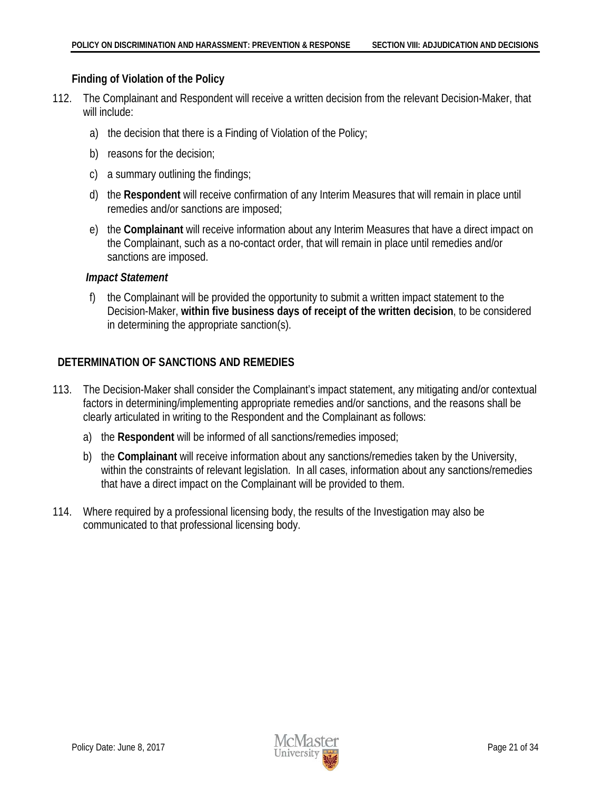# <span id="page-23-0"></span>**Finding of Violation of the Policy**

- 112. The Complainant and Respondent will receive a written decision from the relevant Decision-Maker, that will include:
	- a) the decision that there is a Finding of Violation of the Policy;
	- b) reasons for the decision;
	- c) a summary outlining the findings;
	- d) the **Respondent** will receive confirmation of any Interim Measures that will remain in place until remedies and/or sanctions are imposed;
	- e) the **Complainant** will receive information about any Interim Measures that have a direct impact on the Complainant, such as a no-contact order, that will remain in place until remedies and/or sanctions are imposed.

# *Impact Statement*

f) the Complainant will be provided the opportunity to submit a written impact statement to the Decision-Maker, **within five business days of receipt of the written decision**, to be considered in determining the appropriate sanction(s).

# <span id="page-23-1"></span>**DETERMINATION OF SANCTIONS AND REMEDIES**

- 113. The Decision-Maker shall consider the Complainant's impact statement, any mitigating and/or contextual factors in determining/implementing appropriate remedies and/or sanctions, and the reasons shall be clearly articulated in writing to the Respondent and the Complainant as follows:
	- a) the **Respondent** will be informed of all sanctions/remedies imposed;
	- b) the **Complainant** will receive information about any sanctions/remedies taken by the University, within the constraints of relevant legislation. In all cases, information about any sanctions/remedies that have a direct impact on the Complainant will be provided to them.
- 114. Where required by a professional licensing body, the results of the Investigation may also be communicated to that professional licensing body.

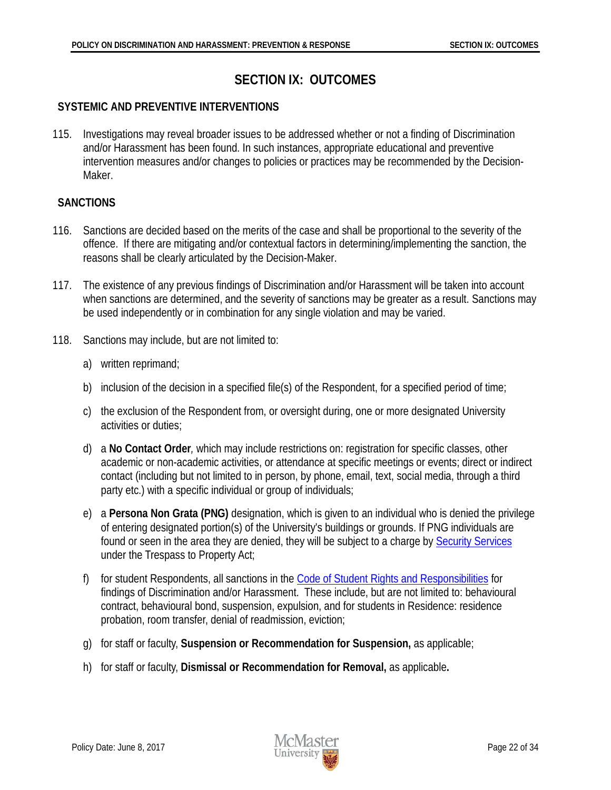# **SECTION IX: OUTCOMES**

# <span id="page-24-1"></span><span id="page-24-0"></span>**SYSTEMIC AND PREVENTIVE INTERVENTIONS**

115. Investigations may reveal broader issues to be addressed whether or not a finding of Discrimination and/or Harassment has been found. In such instances, appropriate educational and preventive intervention measures and/or changes to policies or practices may be recommended by the Decision-Maker.

# <span id="page-24-2"></span>**SANCTIONS**

- 116. Sanctions are decided based on the merits of the case and shall be proportional to the severity of the offence. If there are mitigating and/or contextual factors in determining/implementing the sanction, the reasons shall be clearly articulated by the Decision-Maker.
- 117. The existence of any previous findings of Discrimination and/or Harassment will be taken into account when sanctions are determined, and the severity of sanctions may be greater as a result. Sanctions may be used independently or in combination for any single violation and may be varied.
- 118. Sanctions may include, but are not limited to:
	- a) written reprimand;
	- b) inclusion of the decision in a specified file(s) of the Respondent, for a specified period of time;
	- c) the exclusion of the Respondent from, or oversight during, one or more designated University activities or duties;
	- d) a **No Contact Order***,* which may include restrictions on: registration for specific classes, other academic or non-academic activities, or attendance at specific meetings or events; direct or indirect contact (including but not limited to in person, by phone, email, text, social media, through a third party etc.) with a specific individual or group of individuals;
	- e) a **Persona Non Grata (PNG)** designation, which is given to an individual who is denied the privilege of entering designated portion(s) of the University's buildings or grounds. If PNG individuals are found or seen in the area they are denied, they will be subject to a charge by Security [Services](http://security.mcmaster.ca/) under the Trespass to Property Act;
	- f) for student Respondents, all sanctions in the [Code of Student Rights and Responsibilities](http://www.mcmaster.ca/policy/Students-AcademicStudies/Code_of_Student_Rights_and_Responsibilities.pdf) for findings of Discrimination and/or Harassment. These include, but are not limited to: behavioural contract, behavioural bond, suspension, expulsion, and for students in Residence: residence probation, room transfer, denial of readmission, eviction;
	- g) for staff or faculty, **Suspension or Recommendation for Suspension,** as applicable;
	- h) for staff or faculty, **Dismissal or Recommendation for Removal,** as applicable**.**

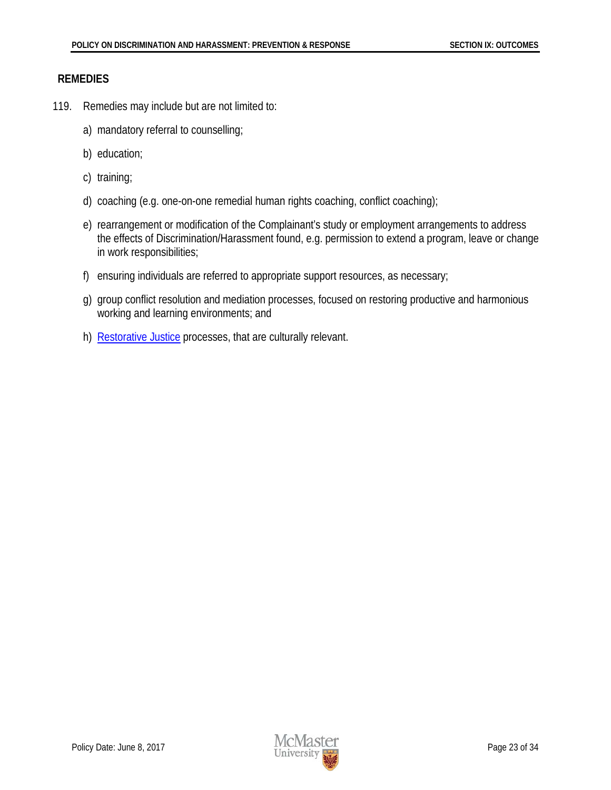### <span id="page-25-0"></span>**REMEDIES**

- 119. Remedies may include but are not limited to:
	- a) mandatory referral to counselling;
	- b) education;
	- c) training;
	- d) coaching (e.g. one-on-one remedial human rights coaching, conflict coaching);
	- e) rearrangement or modification of the Complainant's study or employment arrangements to address the effects of Discrimination/Harassment found, e.g. permission to extend a program, leave or change in work responsibilities;
	- f) ensuring individuals are referred to appropriate support resources, as necessary;
	- g) group conflict resolution and mediation processes, focused on restoring productive and harmonious working and learning environments; and
	- h) [Restorative Justice](#page-32-4) processes, that are culturally relevant.

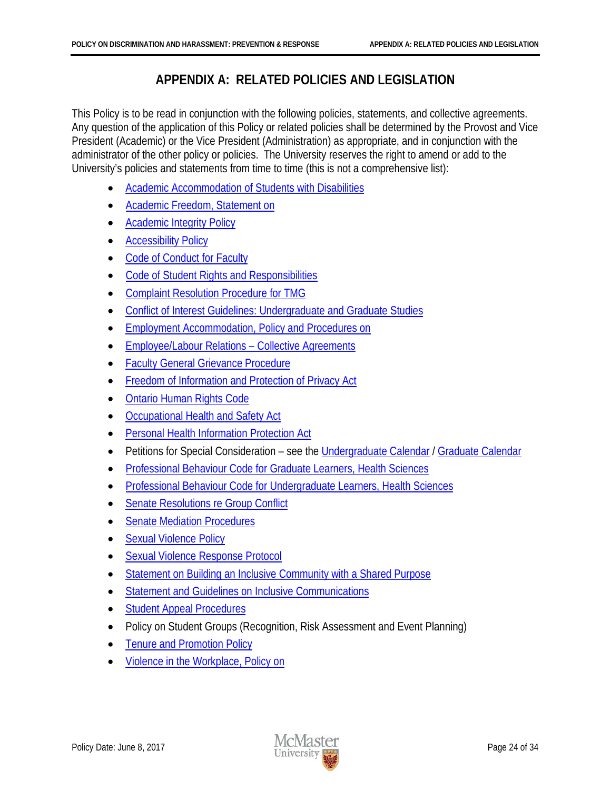# **APPENDIX A: RELATED POLICIES AND LEGISLATION**

<span id="page-26-0"></span>This Policy is to be read in conjunction with the following policies, statements, and collective agreements. Any question of the application of this Policy or related policies shall be determined by the Provost and Vice President (Academic) or the Vice President (Administration) as appropriate, and in conjunction with the administrator of the other policy or policies. The University reserves the right to amend or add to the University's policies and statements from time to time (this is not a comprehensive list):

- [Academic Accommodation of Students with Disabilities](http://www.mcmaster.ca/policy/Students-AcademicStudies/AcademicAccommodation-StudentsWithDisabilities.pdf)
- [Academic Freedom, Statement on](http://www.mcmaster.ca/policy/faculty/Conduct/SPS_E1-Statement_on_Academic_Freedom.pdf)
- [Academic Integrity Policy](http://www.mcmaster.ca/policy/Students-AcademicStudies/AcademicIntegrity.pdf)
- [Accessibility Policy](http://www.workingatmcmaster.ca/med/document/McMaster_Accessibility_Policy-1-48.pdf)
- [Code of Conduct for Faculty](http://www.mcmaster.ca/policy/faculty/Conduct/CodeofConduct-ProceduresforDisciplinaryAction.pdf)
- [Code of Student Rights and Responsibilities](http://www.mcmaster.ca/policy/Students-AcademicStudies/Code_of_Student_Rights_and_Responsibilities.pdf)
- [Complaint Resolution Procedure for TMG](http://www.workingatmcmaster.ca/med/document/Complain-Resolution-1-48.pdf)
- [Conflict of Interest Guidelines: Undergraduate and Graduate Studies](http://www.mcmaster.ca/policy/faculty/Conduct/ConflictofInterest-UndergraduateandGraduateStudies.pdf)
- [Employment Accommodation, Policy and Procedures on](http://www.workingatmcmaster.ca/med/document/Employment-Accommodation-1-48.pdf)
- [Employee/Labour Relations –](http://www.workingatmcmaster.ca/elr/index.php) Collective Agreements
- [Faculty General Grievance Procedure](http://www.mcmaster.ca/policy/faculty/Conduct/FacultyGrievanceProcedure.pdf)
- [Freedom of Information and Protection of Privacy Act](http://www.e-laws.gov.on.ca/html/statutes/english/elaws_statutes_90f31_e.htm)
- [Ontario Human Rights Code](http://www.e-laws.gov.on.ca/html/statutes/english/elaws_statutes_90h19_e.htm)
- [Occupational Health and Safety Act](http://www.e-laws.gov.on.ca/html/statutes/english/elaws_statutes_90o01_e.htm)
- [Personal Health Information Protection Act](http://www.e-laws.gov.on.ca/html/statutes/english/elaws_statutes_04p03_e.htm)
- Petitions for Special Consideration see the [Undergraduate Calendar](http://registrar.mcmaster.ca/undergrad-calendar/) / [Graduate Calendar](http://graduate.mcmaster.ca/current-students/graduate-calendar.html)
- [Professional Behaviour Code for Graduate Learners, Health Sciences](http://www.mcmaster.ca/policy/Students-AcademicStudies/Professional%20Code-Graduate.pdf)
- [Professional Behaviour Code for Undergraduate Learners, Health Sciences](http://www.mcmaster.ca/policy/Students-AcademicStudies/Professional%20Code-Undergraduate.pdf)
- [Senate Resolutions re Group Conflict](http://hres.mcmaster.ca/documents/group-conflict-senate-resolutions-re.pdf)
- [Senate Mediation Procedures](http://hres.mcmaster.ca/documents/mediation-procedures-senate.pdf)
- [Sexual Violence Policy](http://www.mcmaster.ca/policy/General/HR/Sexual_Violence_Policy.pdf)
- [Sexual Violence Response Protocol](http://svrp.mcmaster.ca/)
- [Statement on Building an Inclusive Community with a Shared Purpose](http://www.mcmaster.ca/policy/General/HR/Statement-Inclusivity.pdf)
- [Statement and Guidelines on Inclusive Communications](http://www.mcmaster.ca/policy/General/HR/Statement%20on%20Inclusive%20Communications.pdf)
- [Student Appeal Procedures](http://www.mcmaster.ca/policy/Students-AcademicStudies/StudentAppeal.pdf)
- Policy on Student Groups (Recognition, Risk Assessment and Event Planning)
- [Tenure and Promotion Policy](http://www.mcmaster.ca/policy/faculty/Appointments/Tenure_and_Promotion_January%202012.pdf)
- [Violence in the Workplace, Policy on](http://www.mcmaster.ca/policy/Employee/Violence%20in%20the%20Workplace%20Policy.pdf)

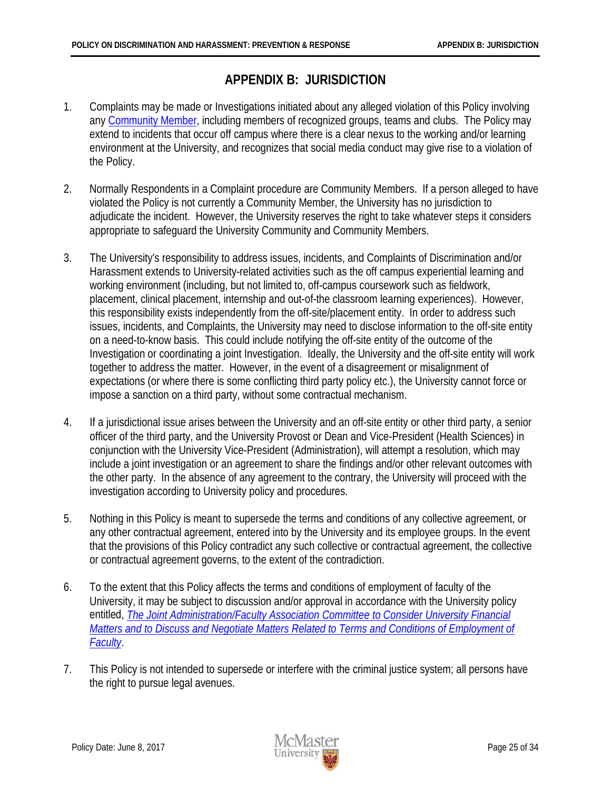# **APPENDIX B: JURISDICTION**

- <span id="page-27-0"></span>1. Complaints may be made or Investigations initiated about any alleged violation of this Policy involving any [Community Member,](#page-4-3) including members of recognized groups, teams and clubs. The Policy may extend to incidents that occur off campus where there is a clear nexus to the working and/or learning environment at the University, and recognizes that social media conduct may give rise to a violation of the Policy.
- 2. Normally Respondents in a Complaint procedure are Community Members. If a person alleged to have violated the Policy is not currently a Community Member, the University has no jurisdiction to adjudicate the incident. However, the University reserves the right to take whatever steps it considers appropriate to safeguard the University Community and Community Members.
- 3. The University's responsibility to address issues, incidents, and Complaints of Discrimination and/or Harassment extends to University-related activities such as the off campus experiential learning and working environment (including, but not limited to, off-campus coursework such as fieldwork, placement, clinical placement, internship and out-of-the classroom learning experiences). However, this responsibility exists independently from the off-site/placement entity. In order to address such issues, incidents, and Complaints, the University may need to disclose information to the off-site entity on a need-to-know basis. This could include notifying the off-site entity of the outcome of the Investigation or coordinating a joint Investigation. Ideally, the University and the off-site entity will work together to address the matter. However, in the event of a disagreement or misalignment of expectations (or where there is some conflicting third party policy etc.), the University cannot force or impose a sanction on a third party, without some contractual mechanism.
- 4. If a jurisdictional issue arises between the University and an off-site entity or other third party, a senior officer of the third party, and the University Provost or Dean and Vice-President (Health Sciences) in conjunction with the University Vice-President (Administration), will attempt a resolution, which may include a joint investigation or an agreement to share the findings and/or other relevant outcomes with the other party. In the absence of any agreement to the contrary, the University will proceed with the investigation according to University policy and procedures.
- 5. Nothing in this Policy is meant to supersede the terms and conditions of any collective agreement, or any other contractual agreement, entered into by the University and its employee groups. In the event that the provisions of this Policy contradict any such collective or contractual agreement, the collective or contractual agreement governs, to the extent of the contradiction.
- 6. To the extent that this Policy affects the terms and conditions of employment of faculty of the University, it may be subject to discussion and/or approval in accordance with the University policy entitled, *[The Joint Administration/Faculty Association Committee to Consider University Financial](http://www.mcmaster.ca/policy/Governance/Other/Joint%20Administration-Faculty%20Assoc%20Committee.pdf)  [Matters and to Discuss and Negotiate Matters Related to Terms and Conditions of Employment of](http://www.mcmaster.ca/policy/Governance/Other/Joint%20Administration-Faculty%20Assoc%20Committee.pdf)  [Faculty](http://www.mcmaster.ca/policy/Governance/Other/Joint%20Administration-Faculty%20Assoc%20Committee.pdf)*.
- 7. This Policy is not intended to supersede or interfere with the criminal justice system; all persons have the right to pursue legal avenues.

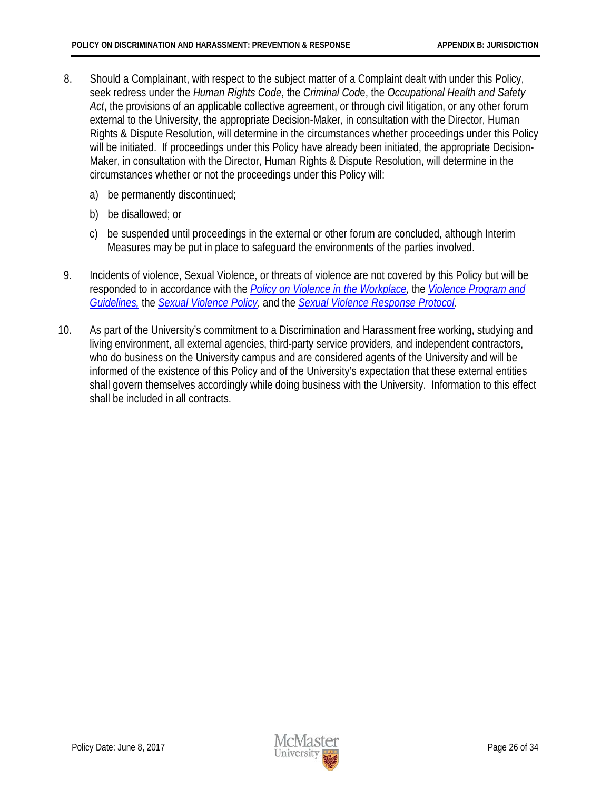- 8. Should a Complainant, with respect to the subject matter of a Complaint dealt with under this Policy, seek redress under the *Human Rights Code*, the *Criminal Cod*e, the *Occupational Health and Safety Act*, the provisions of an applicable collective agreement, or through civil litigation, or any other forum external to the University, the appropriate Decision-Maker, in consultation with the Director, Human Rights & Dispute Resolution, will determine in the circumstances whether proceedings under this Policy will be initiated. If proceedings under this Policy have already been initiated, the appropriate Decision-Maker, in consultation with the Director, Human Rights & Dispute Resolution, will determine in the circumstances whether or not the proceedings under this Policy will:
	- a) be permanently discontinued;
	- b) be disallowed; or
	- c) be suspended until proceedings in the external or other forum are concluded, although Interim Measures may be put in place to safeguard the environments of the parties involved.
- 9. Incidents of violence, Sexual Violence, or threats of violence are not covered by this Policy but will be responded to in accordance with the *[Policy on Violence in the Workplace,](http://www.mcmaster.ca/policy/Employee/Violence%20in%20the%20Workplace%20Policy.pdf)* the *[Violence Program and](http://www.workingatmcmaster.ca/med/document/McMaster-University-Workplace-Violence-Program-1-36.pdf)  [Guidelines,](http://www.workingatmcmaster.ca/med/document/McMaster-University-Workplace-Violence-Program-1-36.pdf)* the *[Sexual Violence Policy](http://www.mcmaster.ca/policy/General/HR/Sexual_Violence_Policy.pdf)*, and the *[Sexual Violence Response Protocol](http://svrp.mcmaster.ca/)*.
- 10. As part of the University's commitment to a Discrimination and Harassment free working, studying and living environment, all external agencies, third-party service providers, and independent contractors, who do business on the University campus and are considered agents of the University and will be informed of the existence of this Policy and of the University's expectation that these external entities shall govern themselves accordingly while doing business with the University. Information to this effect shall be included in all contracts.

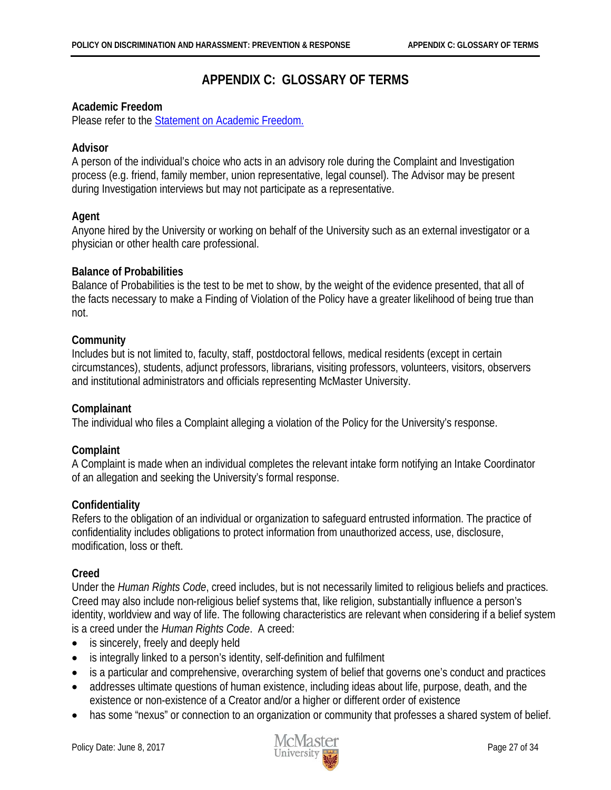# **APPENDIX C: GLOSSARY OF TERMS**

#### <span id="page-29-0"></span>**Academic Freedom**

Please refer to the [Statement on Academic Freedom.](http://www.mcmaster.ca/policy/faculty/Conduct/SPS_E1-Statement_on_Academic_Freedom.pdf)

## <span id="page-29-3"></span>**Advisor**

A person of the individual's choice who acts in an advisory role during the Complaint and Investigation process (e.g. friend, family member, union representative, legal counsel). The Advisor may be present during Investigation interviews but may not participate as a representative.

## **Agent**

Anyone hired by the University or working on behalf of the University such as an external investigator or a physician or other health care professional.

#### **Balance of Probabilities**

Balance of Probabilities is the test to be met to show, by the weight of the evidence presented, that all of the facts necessary to make a Finding of Violation of the Policy have a greater likelihood of being true than not.

#### **Community**

Includes but is not limited to, faculty, staff, postdoctoral fellows, medical residents (except in certain circumstances), students, adjunct professors, librarians, visiting professors, volunteers, visitors, observers and institutional administrators and officials representing McMaster University.

## <span id="page-29-4"></span>**Complainant**

The individual who files a Complaint alleging a violation of the Policy for the University's response.

## <span id="page-29-2"></span>**Complaint**

A Complaint is made when an individual completes the relevant intake form notifying an Intake Coordinator of an allegation and seeking the University's formal response.

#### **Confidentiality**

Refers to the obligation of an individual or organization to safeguard entrusted information. The practice of confidentiality includes obligations to protect information from unauthorized access, use, disclosure, modification, loss or theft.

#### <span id="page-29-1"></span>**Creed**

Under the *Human Rights Code*, creed includes, but is not necessarily limited to religious beliefs and practices. Creed may also include non-religious belief systems that, like religion, substantially influence a person's identity, worldview and way of life. The following characteristics are relevant when considering if a belief system is a creed under the *Human Rights Code*. A creed:

- is sincerely, freely and deeply held
- is integrally linked to a person's identity, self-definition and fulfilment
- is a particular and comprehensive, overarching system of belief that governs one's conduct and practices
- addresses ultimate questions of human existence, including ideas about life, purpose, death, and the existence or non-existence of a Creator and/or a higher or different order of existence
- has some "nexus" or connection to an organization or community that professes a shared system of belief.

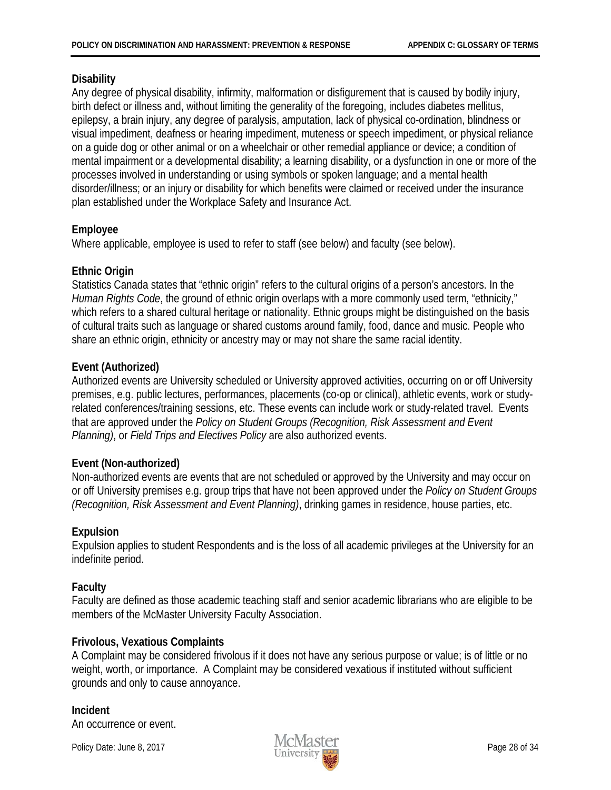# <span id="page-30-3"></span>**Disability**

Any degree of physical disability, infirmity, malformation or disfigurement that is caused by bodily injury, birth defect or illness and, without limiting the generality of the foregoing, includes diabetes mellitus, epilepsy, a brain injury, any degree of paralysis, amputation, lack of physical co-ordination, blindness or visual impediment, deafness or hearing impediment, muteness or speech impediment, or physical reliance on a guide dog or other animal or on a wheelchair or other remedial appliance or device; a condition of mental impairment or a developmental disability; a learning disability, or a dysfunction in one or more of the processes involved in understanding or using symbols or spoken language; and a mental health disorder/illness; or an injury or disability for which benefits were claimed or received under the insurance plan established under the Workplace Safety and Insurance Act.

# <span id="page-30-5"></span>**Employee**

Where applicable, employee is used to refer to staff (see below) and faculty (see below).

# <span id="page-30-2"></span>**Ethnic Origin**

Statistics Canada states that "ethnic origin" refers to the cultural origins of a person's ancestors. In the *Human Rights Code*, the ground of ethnic origin overlaps with a more commonly used term, "ethnicity," which refers to a shared cultural heritage or nationality. Ethnic groups might be distinguished on the basis of cultural traits such as language or shared customs around family, food, dance and music. People who share an ethnic origin, ethnicity or ancestry may or may not share the same racial identity.

# <span id="page-30-0"></span>**Event (Authorized)**

Authorized events are University scheduled or University approved activities, occurring on or off University premises, e.g. public lectures, performances, placements (co-op or clinical), athletic events, work or studyrelated conferences/training sessions, etc. These events can include work or study-related travel. Events that are approved under the *Policy on Student Groups (Recognition, Risk Assessment and Event Planning)*, or *Field Trips and Electives Policy* are also authorized events.

## <span id="page-30-1"></span>**Event (Non-authorized)**

Non-authorized events are events that are not scheduled or approved by the University and may occur on or off University premises e.g. group trips that have not been approved under the *Policy on Student Groups (Recognition, Risk Assessment and Event Planning)*, drinking games in residence, house parties, etc.

## **Expulsion**

Expulsion applies to student Respondents and is the loss of all academic privileges at the University for an indefinite period.

## **Faculty**

Faculty are defined as those academic teaching staff and senior academic librarians who are eligible to be members of the McMaster University Faculty Association.

## <span id="page-30-6"></span>**Frivolous, Vexatious Complaints**

A Complaint may be considered frivolous if it does not have any serious purpose or value; is of little or no weight, worth, or importance. A Complaint may be considered vexatious if instituted without sufficient grounds and only to cause annoyance.

# <span id="page-30-4"></span>**Incident**

An occurrence or event.

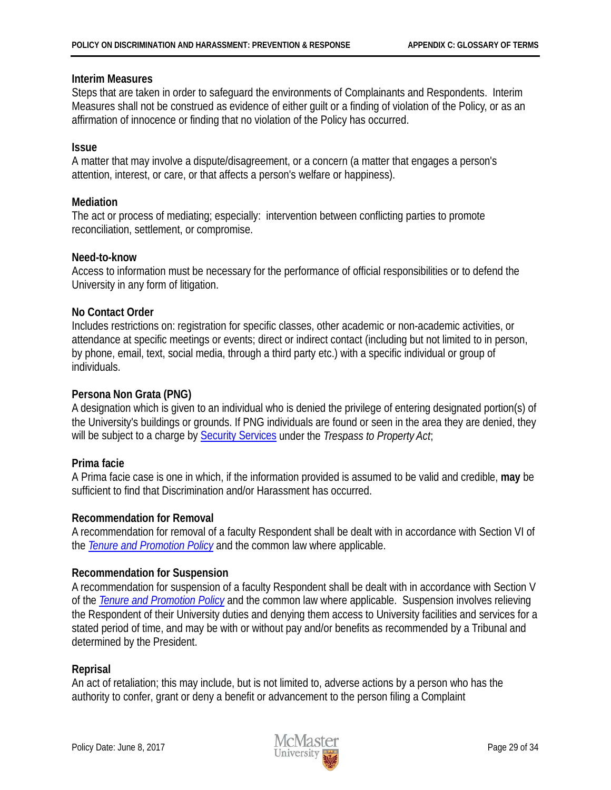#### **Interim Measures**

Steps that are taken in order to safeguard the environments of Complainants and Respondents. Interim Measures shall not be construed as evidence of either guilt or a finding of violation of the Policy, or as an affirmation of innocence or finding that no violation of the Policy has occurred.

## <span id="page-31-0"></span>**Issue**

A matter that may involve a dispute/disagreement, or a concern (a matter that engages a person's attention, interest, or care, or that affects a person's welfare or happiness).

## **Mediation**

The act or process of mediating; especially: intervention between conflicting parties to promote reconciliation, settlement, or compromise.

## <span id="page-31-1"></span>**Need-to-know**

Access to information must be necessary for the performance of official responsibilities or to defend the University in any form of litigation.

# <span id="page-31-3"></span>**No Contact Order**

Includes restrictions on: registration for specific classes, other academic or non-academic activities, or attendance at specific meetings or events; direct or indirect contact (including but not limited to in person, by phone, email, text, social media, through a third party etc.) with a specific individual or group of individuals.

## <span id="page-31-4"></span>**Persona Non Grata (PNG)**

A designation which is given to an individual who is denied the privilege of entering designated portion(s) of the University's buildings or grounds. If PNG individuals are found or seen in the area they are denied, they will be subject to a charge by [Security Services](http://security.mcmaster.ca/) under the *Trespass to Property Act*;

## <span id="page-31-5"></span>**Prima facie**

A Prima facie case is one in which, if the information provided is assumed to be valid and credible, **may** be sufficient to find that Discrimination and/or Harassment has occurred.

## **Recommendation for Removal**

A recommendation for removal of a faculty Respondent shall be dealt with in accordance with Section VI of the *[Tenure and Promotion Policy](http://www.mcmaster.ca/policy/faculty/Appointments/Tenure_and_Promotion_January%202012.pdf)* and the common law where applicable.

## **Recommendation for Suspension**

A recommendation for suspension of a faculty Respondent shall be dealt with in accordance with Section V of the *[Tenure and Promotion Policy](http://www.mcmaster.ca/policy/faculty/Appointments/Tenure_and_Promotion_January%202012.pdf)* and the common law where applicable. Suspension involves relieving the Respondent of their University duties and denying them access to University facilities and services for a stated period of time, and may be with or without pay and/or benefits as recommended by a Tribunal and determined by the President.

## <span id="page-31-2"></span>**Reprisal**

An act of retaliation; this may include, but is not limited to, adverse actions by a person who has the authority to confer, grant or deny a benefit or advancement to the person filing a Complaint

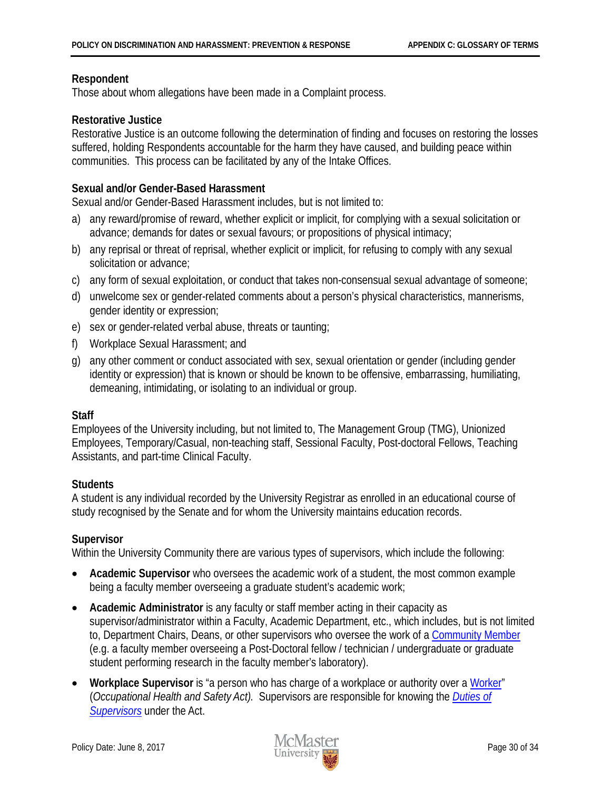# **Respondent**

Those about whom allegations have been made in a Complaint process.

# <span id="page-32-4"></span>**Restorative Justice**

Restorative Justice is an outcome following the determination of finding and focuses on restoring the losses suffered, holding Respondents accountable for the harm they have caused, and building peace within communities. This process can be facilitated by any of the Intake Offices.

# **Sexual and/or Gender-Based Harassment**

Sexual and/or Gender-Based Harassment includes, but is not limited to:

- a) any reward/promise of reward, whether explicit or implicit, for complying with a sexual solicitation or advance; demands for dates or sexual favours; or propositions of physical intimacy;
- b) any reprisal or threat of reprisal, whether explicit or implicit, for refusing to comply with any sexual solicitation or advance;
- c) any form of sexual exploitation, or conduct that takes non-consensual sexual advantage of someone;
- d) unwelcome sex or gender-related comments about a person's physical characteristics, mannerisms, gender identity or expression;
- e) sex or gender-related verbal abuse, threats or taunting;
- f) Workplace Sexual Harassment; and
- g) any other comment or conduct associated with sex, sexual orientation or gender (including gender identity or expression) that is known or should be known to be offensive, embarrassing, humiliating, demeaning, intimidating, or isolating to an individual or group.

## **Staff**

Employees of the University including, but not limited to, The Management Group (TMG), Unionized Employees, Temporary/Casual, non-teaching staff, Sessional Faculty, Post-doctoral Fellows, Teaching Assistants, and part-time Clinical Faculty.

## **Students**

A student is any individual recorded by the University Registrar as enrolled in an educational course of study recognised by the Senate and for whom the University maintains education records.

## <span id="page-32-0"></span>**Supervisor**

Within the University Community there are various types of supervisors, which include the following:

- <span id="page-32-1"></span>• **Academic Supervisor** who oversees the academic work of a student, the most common example being a faculty member overseeing a graduate student's academic work;
- <span id="page-32-2"></span>• **Academic Administrator** is any faculty or staff member acting in their capacity as supervisor/administrator within a Faculty, Academic Department, etc., which includes, but is not limited to, Department Chairs, Deans, or other supervisors who oversee the work of a [Community Member](#page-4-3) (e.g. a faculty member overseeing a Post-Doctoral fellow / technician / undergraduate or graduate student performing research in the faculty member's laboratory).
- <span id="page-32-3"></span>• **Workplace Supervisor** is "a person who has charge of a workplace or authority over a [Worker"](#page-33-2) (*Occupational Health and Safety Act).* Supervisors are responsible for knowing the *[Duties of](http://www.labour.gov.on.ca/english/hs/pubs/farming/ohsa/ohsa_6.php)  [Supervisors](http://www.labour.gov.on.ca/english/hs/pubs/farming/ohsa/ohsa_6.php)* under the Act.

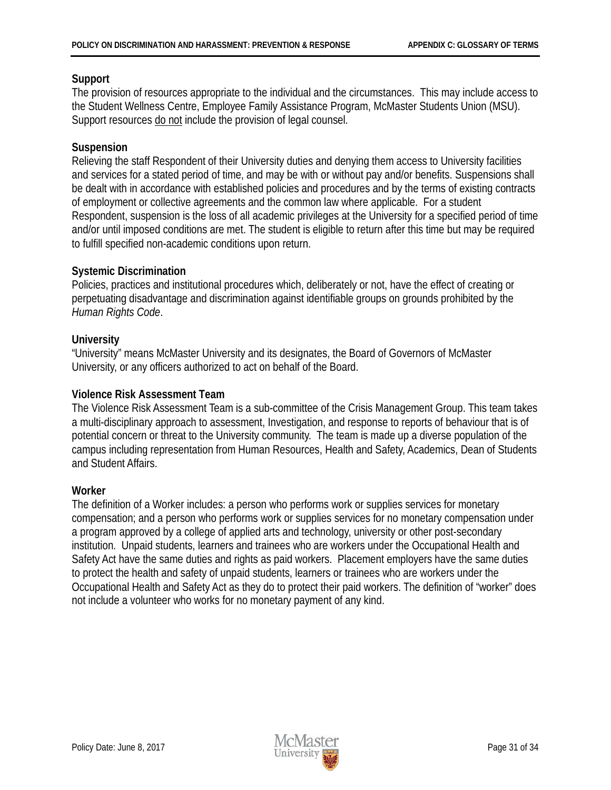# **Support**

The provision of resources appropriate to the individual and the circumstances. This may include access to the Student Wellness Centre, Employee Family Assistance Program, McMaster Students Union (MSU). Support resources do not include the provision of legal counsel.

# **Suspension**

Relieving the staff Respondent of their University duties and denying them access to University facilities and services for a stated period of time, and may be with or without pay and/or benefits. Suspensions shall be dealt with in accordance with established policies and procedures and by the terms of existing contracts of employment or collective agreements and the common law where applicable. For a student Respondent, suspension is the loss of all academic privileges at the University for a specified period of time and/or until imposed conditions are met. The student is eligible to return after this time but may be required to fulfill specified non-academic conditions upon return.

# <span id="page-33-0"></span>**Systemic Discrimination**

Policies, practices and institutional procedures which, deliberately or not, have the effect of creating or perpetuating disadvantage and discrimination against identifiable groups on grounds prohibited by the *Human Rights Code*.

# **University**

"University" means McMaster University and its designates, the Board of Governors of McMaster University, or any officers authorized to act on behalf of the Board.

# <span id="page-33-1"></span>**Violence Risk Assessment Team**

The Violence Risk Assessment Team is a sub-committee of the Crisis Management Group. This team takes a multi-disciplinary approach to assessment, Investigation, and response to reports of behaviour that is of potential concern or threat to the University community. The team is made up a diverse population of the campus including representation from Human Resources, Health and Safety, Academics, Dean of Students and Student Affairs.

## <span id="page-33-2"></span>**Worker**

The definition of a Worker includes: a person who performs work or supplies services for monetary compensation; and a person who performs work or supplies services for no monetary compensation under a program approved by a college of applied arts and technology, university or other post-secondary institution. Unpaid students, learners and trainees who are workers under the Occupational Health and Safety Act have the same duties and rights as paid workers. Placement employers have the same duties to protect the health and safety of unpaid students, learners or trainees who are workers under the Occupational Health and Safety Act as they do to protect their paid workers. The definition of "worker" does not include a volunteer who works for no monetary payment of any kind.

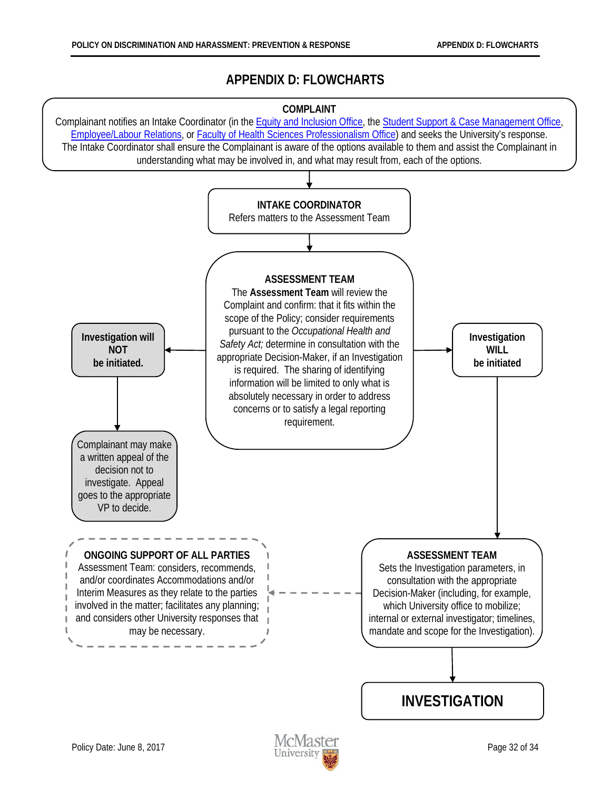# **APPENDIX D: FLOWCHARTS**

<span id="page-34-0"></span>

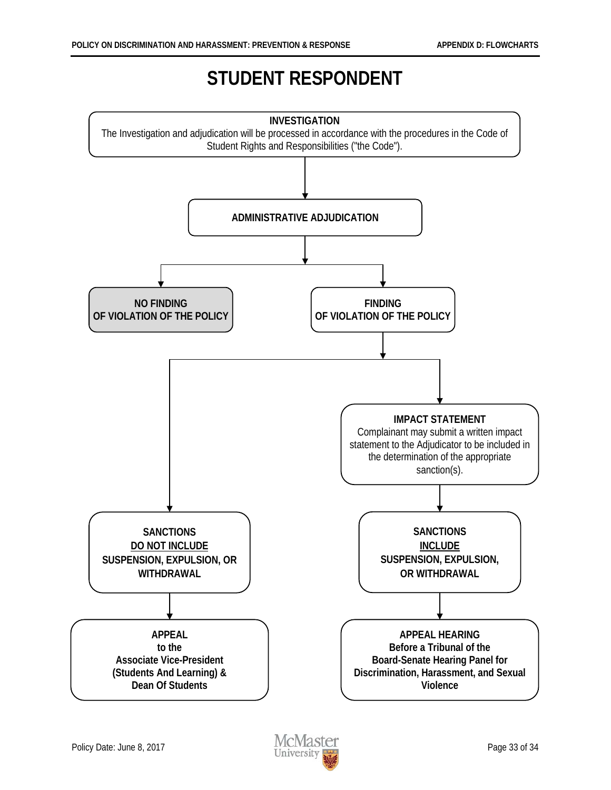# **STUDENT RESPONDENT**



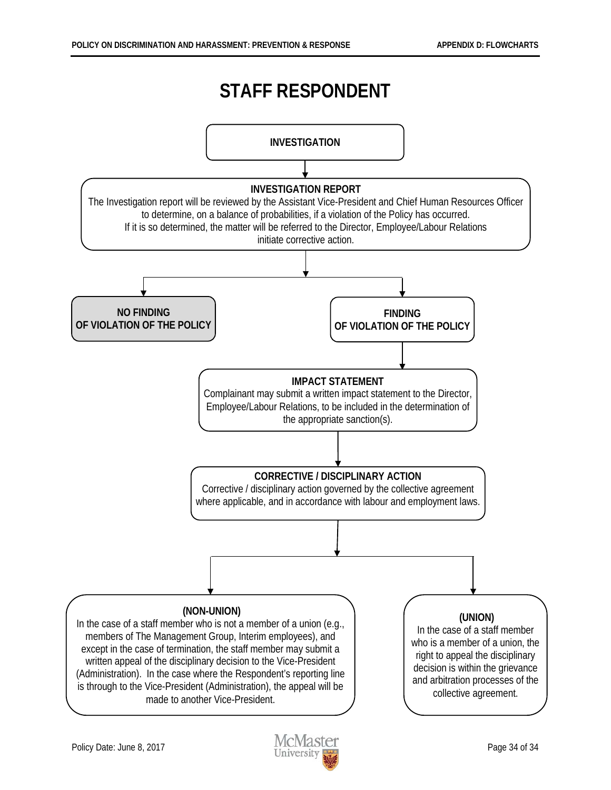# **STAFF RESPONDENT**